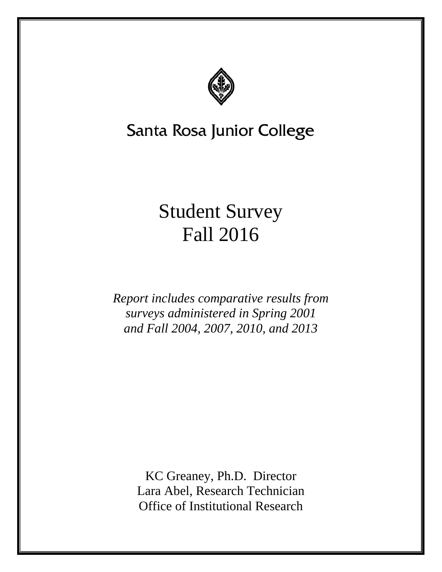

# Santa Rosa Junior College

# Student Survey Fall 2016

*Report includes comparative results from surveys administered in Spring 2001 and Fall 2004, 2007, 2010, and 2013* 

> KC Greaney, Ph.D. Director Lara Abel, Research Technician Office of Institutional Research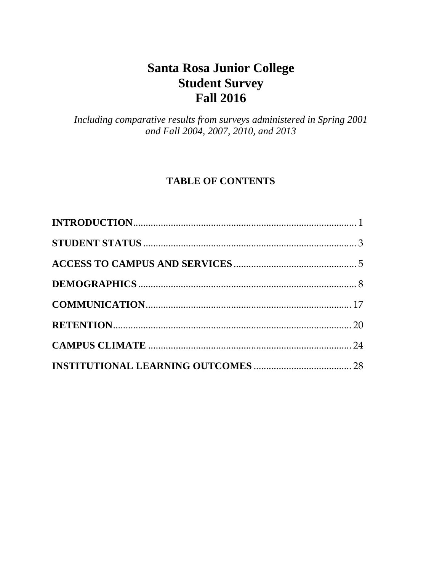# **Santa Rosa Junior College Student Survey Fall 2016**

*Including comparative results from surveys administered in Spring 2001 and Fall 2004, 2007, 2010, and 2013* 

# **TABLE OF CONTENTS**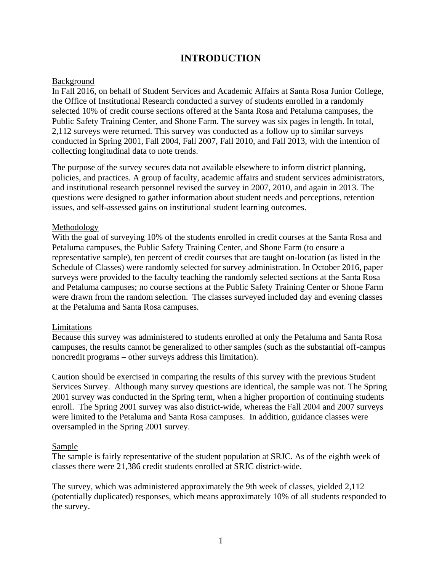# **INTRODUCTION**

#### <span id="page-2-0"></span>Background

In Fall 2016, on behalf of Student Services and Academic Affairs at Santa Rosa Junior College, the Office of Institutional Research conducted a survey of students enrolled in a randomly selected 10% of credit course sections offered at the Santa Rosa and Petaluma campuses, the Public Safety Training Center, and Shone Farm. The survey was six pages in length. In total, 2,112 surveys were returned. This survey was conducted as a follow up to similar surveys conducted in Spring 2001, Fall 2004, Fall 2007, Fall 2010, and Fall 2013, with the intention of collecting longitudinal data to note trends.

The purpose of the survey secures data not available elsewhere to inform district planning, policies, and practices. A group of faculty, academic affairs and student services administrators, and institutional research personnel revised the survey in 2007, 2010, and again in 2013. The questions were designed to gather information about student needs and perceptions, retention issues, and self-assessed gains on institutional student learning outcomes.

#### Methodology

With the goal of surveying 10% of the students enrolled in credit courses at the Santa Rosa and Petaluma campuses, the Public Safety Training Center, and Shone Farm (to ensure a representative sample), ten percent of credit courses that are taught on-location (as listed in the Schedule of Classes) were randomly selected for survey administration. In October 2016, paper surveys were provided to the faculty teaching the randomly selected sections at the Santa Rosa and Petaluma campuses; no course sections at the Public Safety Training Center or Shone Farm were drawn from the random selection. The classes surveyed included day and evening classes at the Petaluma and Santa Rosa campuses.

#### Limitations

Because this survey was administered to students enrolled at only the Petaluma and Santa Rosa campuses, the results cannot be generalized to other samples (such as the substantial off-campus noncredit programs – other surveys address this limitation).

Caution should be exercised in comparing the results of this survey with the previous Student Services Survey. Although many survey questions are identical, the sample was not. The Spring 2001 survey was conducted in the Spring term, when a higher proportion of continuing students enroll. The Spring 2001 survey was also district-wide, whereas the Fall 2004 and 2007 surveys were limited to the Petaluma and Santa Rosa campuses. In addition, guidance classes were oversampled in the Spring 2001 survey.

#### Sample

The sample is fairly representative of the student population at SRJC. As of the eighth week of classes there were 21,386 credit students enrolled at SRJC district-wide.

The survey, which was administered approximately the 9th week of classes, yielded 2,112 (potentially duplicated) responses, which means approximately 10% of all students responded to the survey.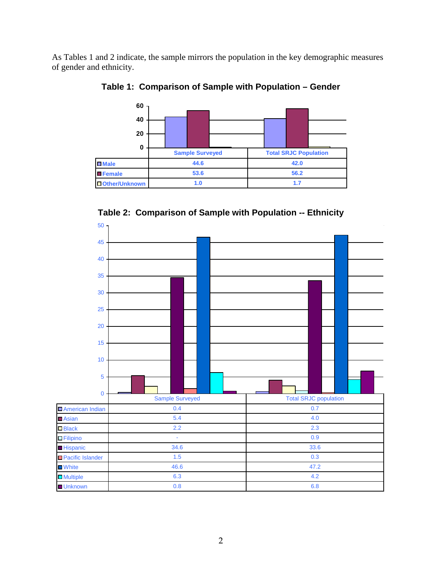As Tables 1 and 2 indicate, the sample mirrors the population in the key demographic measures of gender and ethnicity.

**0 20 40 60**  Male 44.6 42.0 **Female** 53.6 56.2 **Other/Unknown 1.0 1.7 Sample Surveyed Total SRJC Population** 

**Table 1: Comparison of Sample with Population – Gender** 

**Table 2: Comparison of Sample with Population -- Ethnicity** 

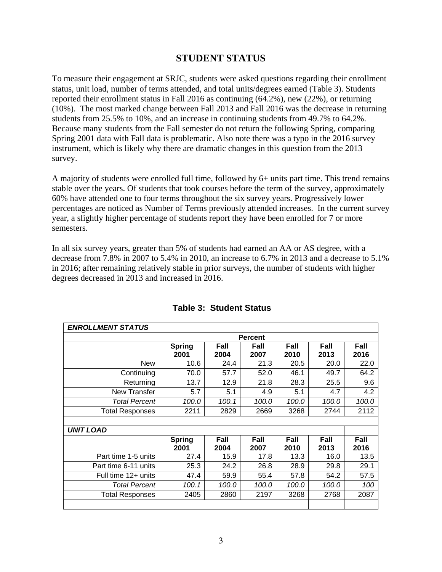## **STUDENT STATUS**

To measure their engagement at SRJC, students were asked questions regarding their enrollment status, unit load, number of terms attended, and total units/degrees earned (Table 3). Students reported their enrollment status in Fall 2016 as continuing (64.2%), new (22%), or returning (10%). The most marked change between Fall 2013 and Fall 2016 was the decrease in returning students from 25.5% to 10%, and an increase in continuing students from 49.7% to 64.2%. Because many students from the Fall semester do not return the following Spring, comparing Spring 2001 data with Fall data is problematic. Also note there was a typo in the 2016 survey instrument, which is likely why there are dramatic changes in this question from the 2013 survey.

A majority of students were enrolled full time, followed by 6+ units part time. This trend remains stable over the years. Of students that took courses before the term of the survey, approximately 60% have attended one to four terms throughout the six survey years. Progressively lower percentages are noticed as Number of Terms previously attended increases. In the current survey year, a slightly higher percentage of students report they have been enrolled for 7 or more semesters.

In all six survey years, greater than 5% of students had earned an AA or AS degree, with a decrease from 7.8% in 2007 to 5.4% in 2010, an increase to 6.7% in 2013 and a decrease to 5.1% in 2016; after remaining relatively stable in prior surveys, the number of students with higher degrees decreased in 2013 and increased in 2016.

| <b>ENROLLMENT STATUS</b> |               |                |       |       |       |       |  |  |  |
|--------------------------|---------------|----------------|-------|-------|-------|-------|--|--|--|
|                          |               | <b>Percent</b> |       |       |       |       |  |  |  |
|                          | <b>Spring</b> | Fall           | Fall  | Fall  | Fall  | Fall  |  |  |  |
|                          | 2001          | 2004           | 2007  | 2010  | 2013  | 2016  |  |  |  |
| <b>New</b>               | 10.6          | 24.4           | 21.3  | 20.5  | 20.0  | 22.0  |  |  |  |
| Continuing               | 70.0          | 57.7           | 52.0  | 46.1  | 49.7  | 64.2  |  |  |  |
| Returning                | 13.7          | 12.9           | 21.8  | 28.3  | 25.5  | 9.6   |  |  |  |
| New Transfer             | 5.7           | 5.1            | 4.9   | 5.1   | 4.7   | 4.2   |  |  |  |
| <b>Total Percent</b>     | 100.0         | 100.1          | 100.0 | 100.0 | 100.0 | 100.0 |  |  |  |
| <b>Total Responses</b>   | 2211          | 2829           | 2669  | 3268  | 2744  | 2112  |  |  |  |
|                          |               |                |       |       |       |       |  |  |  |
| <b>UNIT LOAD</b>         |               |                |       |       |       |       |  |  |  |
|                          | <b>Spring</b> | Fall           | Fall  | Fall  | Fall  | Fall  |  |  |  |
|                          | 2001          | 2004           | 2007  | 2010  | 2013  | 2016  |  |  |  |
| Part time 1-5 units      | 27.4          | 15.9           | 17.8  | 13.3  | 16.0  | 13.5  |  |  |  |
| Part time 6-11 units     | 25.3          | 24.2           | 26.8  | 28.9  | 29.8  | 29.1  |  |  |  |
| Full time 12+ units      | 47.4          | 59.9           | 55.4  | 57.8  | 54.2  | 57.5  |  |  |  |
| <b>Total Percent</b>     | 100.1         | 100.0          | 100.0 | 100.0 | 100.0 | 100   |  |  |  |
| <b>Total Responses</b>   | 2405          | 2860           | 2197  | 3268  | 2768  | 2087  |  |  |  |
|                          |               |                |       |       |       |       |  |  |  |

#### **Table 3: Student Status**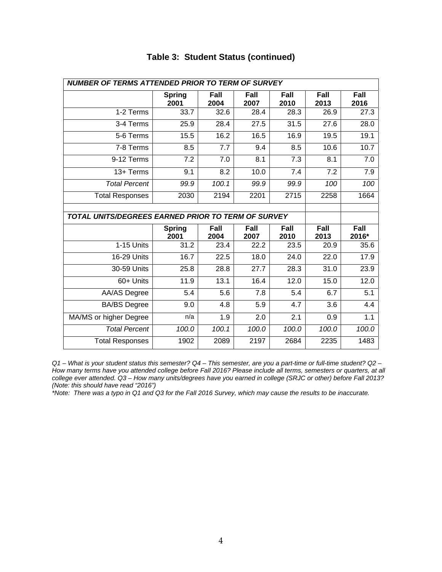| <b>NUMBER OF TERMS ATTENDED PRIOR TO TERM OF SURVEY</b>   |                       |              |              |                     |              |                  |  |  |  |
|-----------------------------------------------------------|-----------------------|--------------|--------------|---------------------|--------------|------------------|--|--|--|
|                                                           | <b>Spring</b><br>2001 | Fall<br>2004 | Fall<br>2007 | <b>Fall</b><br>2010 | Fall<br>2013 | Fall<br>2016     |  |  |  |
| 1-2 Terms                                                 | 33.7                  | 32.6         | 28.4         | 28.3                | 26.9         | 27.3             |  |  |  |
| 3-4 Terms                                                 | 25.9                  | 28.4         | 27.5         | 31.5                | 27.6         | 28.0             |  |  |  |
| 5-6 Terms                                                 | 15.5                  | 16.2         | 16.5         | 16.9                | 19.5         | 19.1             |  |  |  |
| 7-8 Terms                                                 | 8.5                   | 7.7          | 9.4          | 8.5                 | 10.6         | 10.7             |  |  |  |
| 9-12 Terms                                                | $\overline{7.2}$      | 7.0          | 8.1          | $\overline{7.3}$    | 8.1          | $\overline{7.0}$ |  |  |  |
| 13+ Terms                                                 | 9.1                   | 8.2          | 10.0         | 7.4                 | 7.2          | 7.9              |  |  |  |
| <b>Total Percent</b>                                      | 99.9                  | 100.1        | 99.9         | 99.9                | 100          | 100              |  |  |  |
| <b>Total Responses</b>                                    | 2030                  | 2194         | 2201         | 2715                | 2258         | 1664             |  |  |  |
|                                                           |                       |              |              |                     |              |                  |  |  |  |
| <b>TOTAL UNITS/DEGREES EARNED PRIOR TO TERM OF SURVEY</b> |                       |              |              |                     |              |                  |  |  |  |
|                                                           | <b>Spring</b><br>2001 | Fall<br>2004 | Fall<br>2007 | Fall<br>2010        | Fall<br>2013 | Fall<br>2016*    |  |  |  |
| 1-15 Units                                                | 31.2                  | 23.4         | 22.2         | 23.5                | 20.9         | 35.6             |  |  |  |
| 16-29 Units                                               | 16.7                  | 22.5         | 18.0         | 24.0                | 22.0         | 17.9             |  |  |  |
| 30-59 Units                                               | 25.8                  | 28.8         | 27.7         | 28.3                | 31.0         | 23.9             |  |  |  |
|                                                           |                       |              |              |                     |              |                  |  |  |  |
| 60+ Units                                                 | 11.9                  | 13.1         | 16.4         | 12.0                | 15.0         | 12.0             |  |  |  |
| <b>AA/AS Degree</b>                                       | 5.4                   | 5.6          | 7.8          | 5.4                 | 6.7          | 5.1              |  |  |  |
| <b>BA/BS</b> Degree                                       | 9.0                   | 4.8          | 5.9          | 4.7                 | 3.6          | 4.4              |  |  |  |
| MA/MS or higher Degree                                    | n/a                   | 1.9          | 2.0          | 2.1                 | 0.9          | 1.1              |  |  |  |
| <b>Total Percent</b>                                      | 100.0                 | 100.1        | 100.0        | 100.0               | 100.0        | 100.0            |  |  |  |

### **Table 3: Student Status (continued)**

*Q1 – What is your student status this semester? Q4 – This semester, are you a part-time or full-time student? Q2 – How many terms have you attended college before Fall 2016? Please include all terms, semesters or quarters, at all college ever attended. Q3 – How many units/degrees have you earned in college (SRJC or other) before Fall 2013? (Note: this should have read "2016")*

*\*Note: There was a typo in Q1 and Q3 for the Fall 2016 Survey, which may cause the results to be inaccurate.*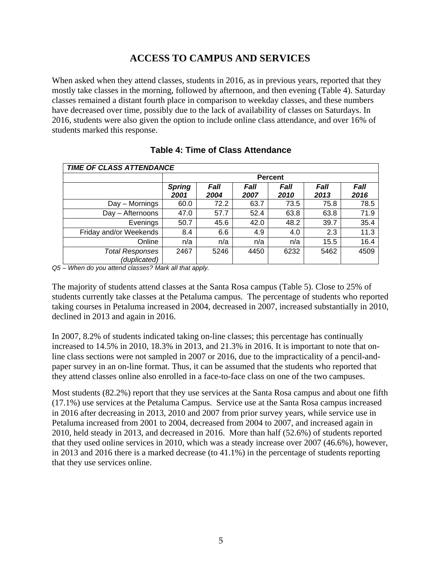# **ACCESS TO CAMPUS AND SERVICES**

When asked when they attend classes, students in 2016, as in previous years, reported that they mostly take classes in the morning, followed by afternoon, and then evening (Table 4). Saturday classes remained a distant fourth place in comparison to weekday classes, and these numbers have decreased over time, possibly due to the lack of availability of classes on Saturdays. In 2016, students were also given the option to include online class attendance, and over 16% of students marked this response.

| <b>TIME OF CLASS ATTENDANCE</b>        |                       |                |              |              |              |              |  |  |  |
|----------------------------------------|-----------------------|----------------|--------------|--------------|--------------|--------------|--|--|--|
|                                        |                       | <b>Percent</b> |              |              |              |              |  |  |  |
|                                        | <b>Spring</b><br>2001 | Fall<br>2004   | Fall<br>2007 | Fall<br>2010 | Fall<br>2013 | Fall<br>2016 |  |  |  |
| Day - Mornings                         | 60.0                  | 72.2           | 63.7         | 73.5         | 75.8         | 78.5         |  |  |  |
| Day - Afternoons                       | 47.0                  | 57.7           | 52.4         | 63.8         | 63.8         | 71.9         |  |  |  |
| Evenings                               | 50.7                  | 45.6           | 42.0         | 48.2         | 39.7         | 35.4         |  |  |  |
| Friday and/or Weekends                 | 8.4                   | 6.6            | 4.9          | 4.0          | 2.3          | 11.3         |  |  |  |
| Online                                 | n/a                   | n/a            | n/a          | n/a          | 15.5         | 16.4         |  |  |  |
| <b>Total Responses</b><br>(duplicated) | 2467                  | 5246           | 4450         | 6232         | 5462         | 4509         |  |  |  |

#### **Table 4: Time of Class Attendance**

*Q5 – When do you attend classes? Mark all that apply.* 

The majority of students attend classes at the Santa Rosa campus (Table 5). Close to 25% of students currently take classes at the Petaluma campus. The percentage of students who reported taking courses in Petaluma increased in 2004, decreased in 2007, increased substantially in 2010, declined in 2013 and again in 2016.

In 2007, 8.2% of students indicated taking on-line classes; this percentage has continually increased to 14.5% in 2010, 18.3% in 2013, and 21.3% in 2016. It is important to note that online class sections were not sampled in 2007 or 2016, due to the impracticality of a pencil-andpaper survey in an on-line format. Thus, it can be assumed that the students who reported that they attend classes online also enrolled in a face-to-face class on one of the two campuses.

 (17.1%) use services at the Petaluma Campus. Service use at the Santa Rosa campus increased 2010, held steady in 2013, and decreased in 2016. More than half (52.6%) of students reported that they use services online. Most students (82.2%) report that they use services at the Santa Rosa campus and about one fifth in 2016 after decreasing in 2013, 2010 and 2007 from prior survey years, while service use in Petaluma increased from 2001 to 2004, decreased from 2004 to 2007, and increased again in that they used online services in 2010, which was a steady increase over 2007 (46.6%), however, in 2013 and 2016 there is a marked decrease (to 41.1%) in the percentage of students reporting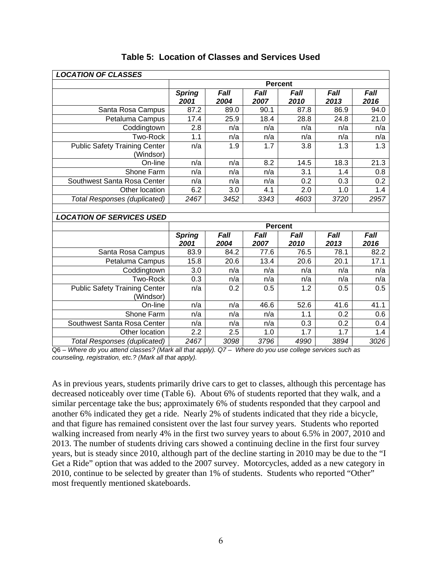| <b>LOCATION OF CLASSES</b>                        |                       |                     |                  |                |                  |                  |  |  |
|---------------------------------------------------|-----------------------|---------------------|------------------|----------------|------------------|------------------|--|--|
|                                                   |                       | <b>Percent</b>      |                  |                |                  |                  |  |  |
|                                                   | <b>Spring</b><br>2001 | Fall<br>2004        | Fall<br>2007     | Fall<br>2010   | Fall<br>2013     | Fall<br>2016     |  |  |
| Santa Rosa Campus                                 | 87.2                  | 89.0                | 90.1             | 87.8           | 86.9             | 94.0             |  |  |
| Petaluma Campus                                   | 17.4                  | 25.9                | 18.4             | 28.8           | 24.8             | 21.0             |  |  |
| Coddingtown                                       | 2.8                   | n/a                 | n/a              | n/a            | n/a              | n/a              |  |  |
| <b>Two-Rock</b>                                   | 1.1                   | n/a                 | n/a              | n/a            | n/a              | n/a              |  |  |
| <b>Public Safety Training Center</b><br>(Windsor) | n/a                   | 1.9                 | $\overline{1.7}$ | 3.8            | $\overline{1.3}$ | $\overline{1.3}$ |  |  |
| On-line                                           | n/a                   | n/a                 | 8.2              | 14.5           | 18.3             | 21.3             |  |  |
| Shone Farm                                        | n/a                   | n/a                 | n/a              | 3.1            | 1.4              | 0.8              |  |  |
| Southwest Santa Rosa Center                       | n/a                   | n/a                 | n/a              | 0.2            | 0.3              | 0.2              |  |  |
| Other location                                    | 6.2                   | 3.0                 | 4.1              | 2.0            | 1.0              | 1.4              |  |  |
| <b>Total Responses (duplicated)</b>               | 2467                  | 3452                | 3343             | 4603           | 3720             | 2957             |  |  |
|                                                   |                       |                     |                  |                |                  |                  |  |  |
| <b>LOCATION OF SERVICES USED</b>                  |                       |                     |                  |                |                  |                  |  |  |
|                                                   |                       |                     |                  | <b>Percent</b> |                  |                  |  |  |
|                                                   | <b>Spring</b><br>2001 | <b>Fall</b><br>2004 | Fall<br>2007     | Fall<br>2010   | Fall<br>2013     | Fall<br>2016     |  |  |
| Santa Rosa Campus                                 | 83.9                  | 84.2                | 77.6             | 76.5           | 78.1             | 82.2             |  |  |
| Petaluma Campus                                   | 15.8                  | 20.6                | 13.4             | 20.6           | 20.1             | 17.1             |  |  |
| Coddingtown                                       | 3.0                   | n/a                 | n/a              | n/a            | n/a              | n/a              |  |  |
| <b>Two-Rock</b>                                   | 0.3                   | n/a                 | n/a              | n/a            | n/a              | n/a              |  |  |
| <b>Public Safety Training Center</b><br>(Windsor) | n/a                   | 0.2                 | 0.5              | 1.2            | 0.5              | 0.5              |  |  |
| On-line                                           | n/a                   | n/a                 | 46.6             | 52.6           | 41.6             | 41.1             |  |  |
| Shone Farm                                        | n/a                   | n/a                 | n/a              | 1.1            | 0.2              | 0.6              |  |  |
| Southwest Santa Rosa Center                       | n/a                   | n/a                 | n/a              | 0.3            | 0.2              | 0.4              |  |  |
| Other location                                    | 2.2                   | 2.5                 | 1.0              | 1.7            | 1.7              | 1.4              |  |  |
| <b>Total Responses (duplicated)</b>               | 2467                  | 3098                | 3796             | 4990           | 3894             | 3026             |  |  |

#### **Table 5: Location of Classes and Services Used**

Q6 – *Where do you attend classes? (Mark all that apply). Q7 – Where do you use college services such as counseling, registration, etc.? (Mark all that apply).* 

As in previous years, students primarily drive cars to get to classes, although this percentage has decreased noticeably over time (Table 6). About 6% of students reported that they walk, and a similar percentage take the bus; approximately 6% of students responded that they carpool and another 6% indicated they get a ride. Nearly 2% of students indicated that they ride a bicycle, and that figure has remained consistent over the last four survey years. Students who reported walking increased from nearly 4% in the first two survey years to about 6.5% in 2007, 2010 and 2013. The number of students driving cars showed a continuing decline in the first four survey years, but is steady since 2010, although part of the decline starting in 2010 may be due to the "I Get a Ride" option that was added to the 2007 survey. Motorcycles, added as a new category in 2010, continue to be selected by greater than 1% of students. Students who reported "Other" most frequently mentioned skateboards.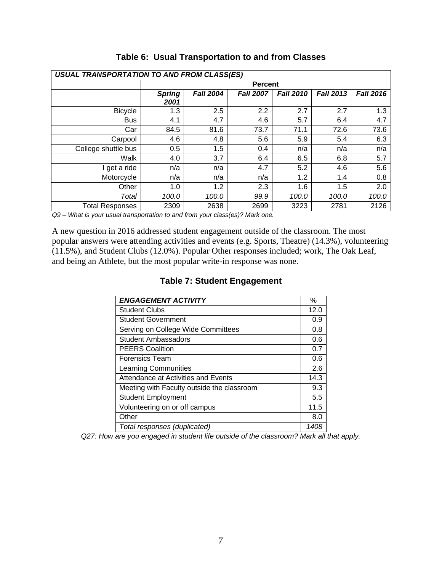| <b>USUAL TRANSPORTATION TO AND FROM CLASS(ES)</b> |                       |                  |                  |                  |                  |                  |  |  |  |  |
|---------------------------------------------------|-----------------------|------------------|------------------|------------------|------------------|------------------|--|--|--|--|
|                                                   |                       |                  | <b>Percent</b>   |                  |                  |                  |  |  |  |  |
|                                                   | <b>Spring</b><br>2001 | <b>Fall 2004</b> | <b>Fall 2007</b> | <b>Fall 2010</b> | <b>Fall 2013</b> | <b>Fall 2016</b> |  |  |  |  |
| <b>Bicycle</b>                                    | 1.3                   | 2.5              | 2.2              | 2.7              | 2.7              | 1.3              |  |  |  |  |
| <b>Bus</b>                                        | 4.1                   | 4.7              | 4.6              | 5.7              | 6.4              | 4.7              |  |  |  |  |
| Car                                               | 84.5                  | 81.6             | 73.7             | 71.1             | 72.6             | 73.6             |  |  |  |  |
| Carpool                                           | 4.6                   | 4.8              | 5.6              | 5.9              | 5.4              | 6.3              |  |  |  |  |
| College shuttle bus                               | 0.5                   | 1.5              | 0.4              | n/a              | n/a              | n/a              |  |  |  |  |
| Walk                                              | 4.0                   | 3.7              | 6.4              | 6.5              | 6.8              | 5.7              |  |  |  |  |
| get a ride                                        | n/a                   | n/a              | 4.7              | 5.2              | 4.6              | 5.6              |  |  |  |  |
| Motorcycle                                        | n/a                   | n/a              | n/a              | 1.2              | 1.4              | 0.8              |  |  |  |  |
| Other                                             | 1.0                   | 1.2              | 2.3              | 1.6              | 1.5              | 2.0              |  |  |  |  |
| Total                                             | 100.0                 | 100.0            | 99.9             | 100.0            | 100.0            | 100.0            |  |  |  |  |
| <b>Total Responses</b>                            | 2309                  | 2638             | 2699             | 3223             | 2781             | 2126             |  |  |  |  |

**Table 6: Usual Transportation to and from Classes** 

*Q9 – What is your usual transportation to and from your class(es)? Mark one.* 

A new question in 2016 addressed student engagement outside of the classroom. The most popular answers were attending activities and events (e.g. Sports, Theatre) (14.3%), volunteering (11.5%), and Student Clubs (12.0%). Popular Other responses included; work, The Oak Leaf, and being an Athlete, but the most popular write-in response was none.

| <b>ENGAGEMENT ACTIVITY</b>                 | $\%$ |
|--------------------------------------------|------|
| <b>Student Clubs</b>                       | 12.0 |
| <b>Student Government</b>                  | 0.9  |
| Serving on College Wide Committees         | 0.8  |
| <b>Student Ambassadors</b>                 | 0.6  |
| <b>PEERS Coalition</b>                     | 0.7  |
| <b>Forensics Team</b>                      | 0.6  |
| <b>Learning Communities</b>                | 2.6  |
| Attendance at Activities and Events        | 14.3 |
| Meeting with Faculty outside the classroom | 9.3  |
| <b>Student Employment</b>                  | 5.5  |
| Volunteering on or off campus              | 11.5 |
| Other                                      | 8.0  |
| Total responses (duplicated)               | 1408 |

#### **Table 7: Student Engagement**

*Q27: How are you engaged in student life outside of the classroom? Mark all that apply.*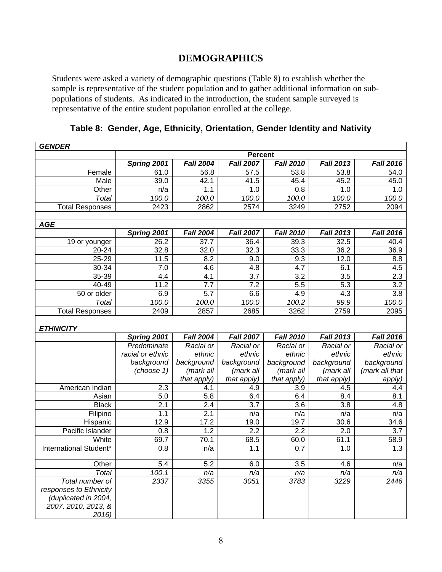# **DEMOGRAPHICS**

Students were asked a variety of demographic questions (Table 8) to establish whether the sample is representative of the student population and to gather additional information on subpopulations of students. As indicated in the introduction, the student sample surveyed is representative of the entire student population enrolled at the college.

| <b>GENDER</b>                                                                                     |                  |                    |                    |                    |                    |                  |
|---------------------------------------------------------------------------------------------------|------------------|--------------------|--------------------|--------------------|--------------------|------------------|
|                                                                                                   |                  |                    | <b>Percent</b>     |                    |                    |                  |
|                                                                                                   | Spring 2001      | <b>Fall 2004</b>   | <b>Fall 2007</b>   | <b>Fall 2010</b>   | <b>Fall 2013</b>   | <b>Fall 2016</b> |
| Female                                                                                            | 61.0             | 56.8               | 57.5               | 53.8               | 53.8               | 54.0             |
| Male                                                                                              | 39.0             | 42.1               | 41.5               | 45.4               | 45.2               | 45.0             |
| Other                                                                                             | n/a              | 1.1                | 1.0                | 0.8                | $1.\overline{0}$   | 1.0              |
| <b>Total</b>                                                                                      | 100.0            | 100.0              | 100.0              | 100.0              | 100.0              | 100.0            |
| <b>Total Responses</b>                                                                            | 2423             | 2862               | 2574               | 3249               | 2752               | 2094             |
| <b>AGE</b>                                                                                        |                  |                    |                    |                    |                    |                  |
|                                                                                                   | Spring 2001      | <b>Fall 2004</b>   | <b>Fall 2007</b>   | <b>Fall 2010</b>   | <b>Fall 2013</b>   | <b>Fall 2016</b> |
| 19 or younger                                                                                     | 26.2             | 37.7               | 36.4               | 39.3               | 32.5               | 40.4             |
| 20-24                                                                                             | 32.8             | 32.0               | 32.3               | 33.3               | 36.2               | 36.9             |
| 25-29                                                                                             | 11.5             | 8.2                | 9.0                | 9.3                | 12.0               | 8.8              |
| 30-34                                                                                             | 7.0              | 4.6                | 4.8                | 4.7                | 6.1                | 4.5              |
| 35-39                                                                                             | 4.4              | 4.1                | 3.7                | 3.2                | 3.5                | 2.3              |
| 40-49                                                                                             | 11.2             | 7.7                | 7.2                | $\overline{5.5}$   | 5.3                | 3.2              |
| 50 or older                                                                                       | 6.9              | 5.7                | 6.6                | 4.9                | 4.3                | 3.8              |
| <b>Total</b>                                                                                      | 100.0            | 100.0              | 100.0              | 100.2              | 99.9               | 100.0            |
| <b>Total Responses</b>                                                                            | 2409             | 2857               | 2685               | 3262               | 2759               | 2095             |
|                                                                                                   |                  |                    |                    |                    |                    |                  |
| <b>ETHNICITY</b>                                                                                  |                  |                    |                    |                    |                    |                  |
|                                                                                                   | Spring 2001      | <b>Fall 2004</b>   | <b>Fall 2007</b>   | <b>Fall 2010</b>   | <b>Fall 2013</b>   | <b>Fall 2016</b> |
|                                                                                                   | Predominate      | Racial or          | Racial or          | Racial or          | Racial or          | Racial or        |
|                                                                                                   | racial or ethnic | ethnic             | ethnic             | ethnic             | ethnic             | ethnic           |
|                                                                                                   | background       | background         | background         | background         | background         | background       |
|                                                                                                   | (choose 1)       | (mark all          | (mark all          | (mark all          | (mark all          | (mark all that   |
| American Indian                                                                                   | 2.3              | that apply)<br>4.1 | that apply)<br>4.9 | that apply)<br>3.9 | that apply)<br>4.5 | apply)<br>4.4    |
| Asian                                                                                             | 5.0              | 5.8                | 6.4                | 6.4                | 8.4                | 8.1              |
| <b>Black</b>                                                                                      | 2.1              | 2.4                | 3.7                | 3.6                | 3.8                | 4.8              |
| Filipino                                                                                          | 1.1              | 2.1                | n/a                | n/a                | n/a                | n/a              |
| Hispanic                                                                                          | 12.9             | 17.2               | 19.0               | 19.7               | 30.6               | 34.6             |
| Pacific Islander                                                                                  | 0.8              | 1.2                | 2.2                | 2.2                | 2.0                | 3.7              |
| White                                                                                             | 69.7             | 70.1               | 68.5               | 60.0               | 61.1               | 58.9             |
| International Student*                                                                            | 0.8              | n/a                | 1.1                | 0.7                | 1.0                | 1.3              |
|                                                                                                   |                  |                    |                    |                    |                    |                  |
| Other                                                                                             | 5.4              | 5.2                | 6.0                | $\overline{3.5}$   | 4.6                | n/a              |
| Total                                                                                             | 100.1            | n/a                | n/a                | n/a                | n/a                | n/a              |
| Total number of<br>responses to Ethnicity<br>(duplicated in 2004,<br>2007, 2010, 2013, &<br>2016) | 2337             | 3355               | 3051               | 3783               | 3229               | 2446             |

**Table 8: Gender, Age, Ethnicity, Orientation, Gender Identity and Nativity**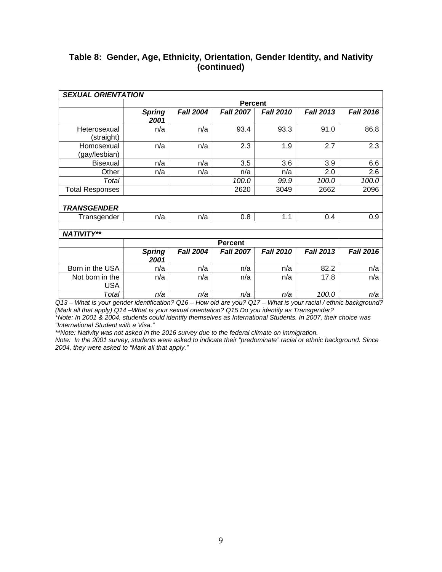#### **Table 8: Gender, Age, Ethnicity, Orientation, Gender Identity, and Nativity (continued)**

| <b>SEXUAL ORIENTATION</b>     |                       |                             |                             |                  |                  |                  |
|-------------------------------|-----------------------|-----------------------------|-----------------------------|------------------|------------------|------------------|
|                               |                       |                             | <b>Percent</b>              |                  |                  |                  |
|                               | <b>Spring</b><br>2001 | <b>Fall 2004</b>            | <b>Fall 2007</b>            | <b>Fall 2010</b> | <b>Fall 2013</b> | <b>Fall 2016</b> |
| Heterosexual<br>(straight)    | n/a                   | n/a                         | 93.4                        | 93.3             | 91.0             | 86.8             |
| Homosexual<br>(gay/lesbian)   | n/a                   | n/a                         | 2.3                         | 1.9              | 2.7              | 2.3              |
| <b>Bisexual</b>               | n/a                   | n/a                         | 3.5                         | 3.6              | 3.9              | 6.6              |
| Other                         | n/a                   | n/a                         | n/a                         | n/a              | 2.0              | 2.6              |
| Total                         |                       |                             | 100.0                       | 99.9             | 100.0            | 100.0            |
| <b>Total Responses</b>        |                       |                             | 2620                        | 3049             | 2662             | 2096             |
| <b>TRANSGENDER</b>            |                       |                             |                             |                  |                  |                  |
| Transgender                   | n/a                   | n/a                         | 0.8                         | 1.1              | 0.4              | 0.9              |
|                               |                       |                             |                             |                  |                  |                  |
| <b>NATIVITY**</b>             |                       |                             |                             |                  |                  |                  |
|                               |                       |                             | Percent                     |                  |                  |                  |
|                               | <b>Spring</b><br>2001 | <b>Fall 2004</b>            | <b>Fall 2007</b>            | <b>Fall 2010</b> | <b>Fall 2013</b> | <b>Fall 2016</b> |
| Born in the USA               | n/a                   | n/a                         | n/a                         | n/a              | 82.2             | n/a              |
| Not born in the<br><b>USA</b> | n/a                   | n/a                         | n/a                         | n/a              | 17.8             | n/a              |
| Total<br>$\cdots$             | n/a<br>$\cdot$ .      | n/a<br>$\sim$ $\sim$ $\sim$ | n/a<br>$\sim$ $\sim$ $\sim$ | n/a<br>1.4.11    | 100.0            | n/a              |

*Q13 – What is your gender identification? Q16 – How old are you? Q17 – What is your racial / ethnic background? (Mark all that apply) Q14 –What is your sexual orientation? Q15 Do you identify as Transgender? \*Note: In 2001 & 2004, students could identify themselves as International Students. In 2007, their choice was "International Student with a Visa."*

*\*\*Note: Nativity was not asked in the 2016 survey due to the federal climate on immigration.* 

*Note: In the 2001 survey, students were asked to indicate their "predominate" racial or ethnic background. Since 2004, they were asked to "Mark all that apply."*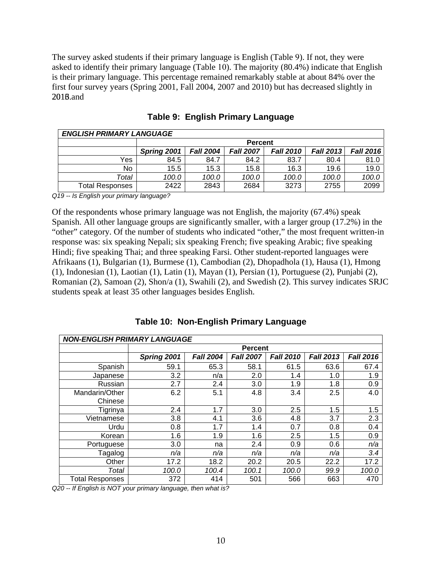The survey asked students if their primary language is English (Table 9). If not, they were asked to identify their primary language (Table 10). The majority (80.4%) indicate that English is their primary language. This percentage remained remarkably stable at about 84% over the first four survey years (Spring 2001, Fall 2004, 2007 and 2010) but has decreased slightly in 2016.and

| <b>ENGLISH PRIMARY LANGUAGE</b> |             |                  |                  |                  |                  |                  |  |  |  |
|---------------------------------|-------------|------------------|------------------|------------------|------------------|------------------|--|--|--|
|                                 |             | <b>Percent</b>   |                  |                  |                  |                  |  |  |  |
|                                 | Spring 2001 | <b>Fall 2004</b> | <b>Fall 2007</b> | <b>Fall 2010</b> | <b>Fall 2013</b> | <b>Fall 2016</b> |  |  |  |
| Yes                             | 84.5        | 84.7             | 84.2             | 83.7             | 80.4             | 81.0             |  |  |  |
| No.                             | 15.5        | 15.3             | 15.8             | 16.3             | 19.6             | 19.0             |  |  |  |
| Total                           | 100.0       | 100.0            | 100.0            | 100.0            | 100.0            | 100.0            |  |  |  |
| <b>Total Responses</b>          | 2422        | 2843             | 2684             | 3273             | 2755             | 2099             |  |  |  |

**Table 9: English Primary Language** 

*Q19 -- Is English your primary language?* 

Of the respondents whose primary language was not English, the majority (67.4%) speak Spanish. All other language groups are significantly smaller, with a larger group (17.2%) in the "other" category. Of the number of students who indicated "other," the most frequent written-in response was: six speaking Nepali; six speaking French; five speaking Arabic; five speaking Hindi; five speaking Thai; and three speaking Farsi. Other student-reported languages were Afrikaans (1), Bulgarian (1), Burmese (1), Cambodian (2), Dhopadhola (1), Hausa (1), Hmong (1), Indonesian (1), Laotian (1), Latin (1), Mayan (1), Persian (1), Portuguese (2), Punjabi (2), Romanian (2), Samoan (2), Shon/a (1), Swahili (2), and Swedish (2). This survey indicates SRJC students speak at least 35 other languages besides English.

**Table 10: Non-English Primary Language** 

| <b>NON-ENGLISH PRIMARY LANGUAGE</b> |                |                  |                  |                  |                  |                  |  |  |  |
|-------------------------------------|----------------|------------------|------------------|------------------|------------------|------------------|--|--|--|
|                                     | <b>Percent</b> |                  |                  |                  |                  |                  |  |  |  |
|                                     | Spring 2001    | <b>Fall 2004</b> | <b>Fall 2007</b> | <b>Fall 2010</b> | <b>Fall 2013</b> | <b>Fall 2016</b> |  |  |  |
| Spanish                             | 59.1           | 65.3             | 58.1             | 61.5             | 63.6             | 67.4             |  |  |  |
| Japanese                            | 3.2            | n/a              | 2.0              | 1.4              | 1.0              | 1.9              |  |  |  |
| Russian                             | 2.7            | 2.4              | 3.0              | 1.9              | 1.8              | 0.9              |  |  |  |
| Mandarin/Other                      | 6.2            | 5.1              | 4.8              | 3.4              | 2.5              | 4.0              |  |  |  |
| Chinese                             |                |                  |                  |                  |                  |                  |  |  |  |
| Tigrinya                            | 2.4            | 1.7              | 3.0              | 2.5              | 1.5              | 1.5              |  |  |  |
| Vietnamese                          | 3.8            | 4.1              | 3.6              | 4.8              | 3.7              | 2.3              |  |  |  |
| Urdu                                | 0.8            | 1.7              | 1.4              | 0.7              | 0.8              | 0.4              |  |  |  |
| Korean                              | 1.6            | 1.9              | 1.6              | 2.5              | 1.5              | 0.9              |  |  |  |
| Portuguese                          | 3.0            | na               | 2.4              | 0.9              | 0.6              | n/a              |  |  |  |
| Tagalog                             | n/a            | n/a              | n/a              | n/a              | n/a              | 3.4              |  |  |  |
| Other                               | 17.2           | 18.2             | 20.2             | 20.5             | 22.2             | 17.2             |  |  |  |
| Total                               | 100.0          | 100.4            | 100.1            | 100.0            | 99.9             | 100.0            |  |  |  |
| <b>Total Responses</b>              | 372            | 414              | 501              | 566              | 663              | 470              |  |  |  |

*Q20 -- If English is NOT your primary language, then what is?*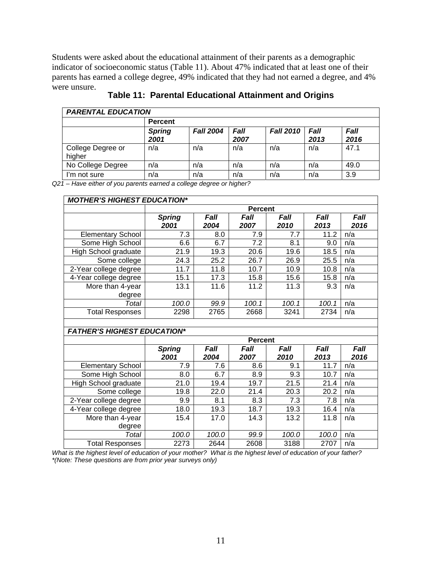Students were asked about the educational attainment of their parents as a demographic indicator of socioeconomic status (Table 11). About 47% indicated that at least one of their parents has earned a college degree, 49% indicated that they had not earned a degree, and 4% were unsure.

| <b>PARENTAL EDUCATION</b>   |                       |                  |              |                  |                     |              |  |  |  |
|-----------------------------|-----------------------|------------------|--------------|------------------|---------------------|--------------|--|--|--|
|                             | <b>Percent</b>        |                  |              |                  |                     |              |  |  |  |
|                             | <b>Spring</b><br>2001 | <b>Fall 2004</b> | Fall<br>2007 | <b>Fall 2010</b> | <b>Fall</b><br>2013 | Fall<br>2016 |  |  |  |
| College Degree or<br>higher | n/a                   | n/a              | n/a          | n/a              | n/a                 | 47.1         |  |  |  |
| No College Degree           | n/a                   | n/a              | n/a          | n/a              | n/a                 | 49.0         |  |  |  |
| I'm not sure                | n/a                   | n/a              | n/a          | n/a              | n/a                 | 3.9          |  |  |  |

**Table 11: Parental Educational Attainment and Origins** 

*Q21 – Have either of you parents earned a college degree or higher?* 

| <b>MOTHER'S HIGHEST EDUCATION*</b> |                       |                     |                     |              |                     |              |  |  |  |  |  |
|------------------------------------|-----------------------|---------------------|---------------------|--------------|---------------------|--------------|--|--|--|--|--|
|                                    | <b>Percent</b>        |                     |                     |              |                     |              |  |  |  |  |  |
|                                    | <b>Spring</b><br>2001 | <b>Fall</b><br>2004 | <i>Fall</i><br>2007 | Fall<br>2010 | <b>Fall</b><br>2013 | Fall<br>2016 |  |  |  |  |  |
| <b>Elementary School</b>           | 7.3                   | 8.0                 | 7.9                 | 7.7          | 11.2                | n/a          |  |  |  |  |  |
| Some High School                   | 6.6                   | 6.7                 | 7.2                 | 8.1          | 9.0                 | n/a          |  |  |  |  |  |
| High School graduate               | 21.9                  | 19.3                | 20.6                | 19.6         | 18.5                | n/a          |  |  |  |  |  |
| Some college                       | 24.3                  | 25.2                | 26.7                | 26.9         | 25.5                | n/a          |  |  |  |  |  |
| 2-Year college degree              | 11.7                  | 11.8                | 10.7                | 10.9         | 10.8                | n/a          |  |  |  |  |  |
| 4-Year college degree              | 15.1                  | 17.3                | 15.8                | 15.6         | 15.8                | n/a          |  |  |  |  |  |
| More than 4-year<br>degree         | 13.1                  | 11.6                | 11.2                | 11.3         | 9.3                 | n/a          |  |  |  |  |  |
| Total                              | 100.0                 | 99.9                | 100.1               | 100.1        | 100.1               | n/a          |  |  |  |  |  |
| <b>Total Responses</b>             | 2298                  | 2765                | 2668                | 3241         | 2734                | n/a          |  |  |  |  |  |

#### *FATHER'S HIGHEST EDUCATION\**

|                            | <b>Percent</b>        |                     |              |              |                     |              |  |  |  |
|----------------------------|-----------------------|---------------------|--------------|--------------|---------------------|--------------|--|--|--|
|                            | <b>Spring</b><br>2001 | <b>Fall</b><br>2004 | Fall<br>2007 | Fall<br>2010 | <b>Fall</b><br>2013 | Fall<br>2016 |  |  |  |
| <b>Elementary School</b>   | 7.9                   | 7.6                 | 8.6          | 9.1          | 11.7                | n/a          |  |  |  |
| Some High School           | 8.0                   | 6.7                 | 8.9          | 9.3          | 10.7                | n/a          |  |  |  |
| High School graduate       | 21.0                  | 19.4                | 19.7         | 21.5         | 21.4                | n/a          |  |  |  |
| Some college               | 19.8                  | 22.0                | 21.4         | 20.3         | 20.2                | n/a          |  |  |  |
| 2-Year college degree      | 9.9                   | 8.1                 | 8.3          | 7.3          | 7.8                 | n/a          |  |  |  |
| 4-Year college degree      | 18.0                  | 19.3                | 18.7         | 19.3         | 16.4                | n/a          |  |  |  |
| More than 4-year<br>degree | 15.4                  | 17.0                | 14.3         | 13.2         | 11.8                | n/a          |  |  |  |
| Total                      | 100.0                 | 100.0               | 99.9         | 100.0        | 100.0               | n/a          |  |  |  |
| <b>Total Responses</b>     | 2273                  | 2644                | 2608         | 3188         | 2707                | n/a          |  |  |  |

*What is the highest level of education of your mother? What is the highest level of education of your father? \*(Note: These questions are from prior year surveys only)*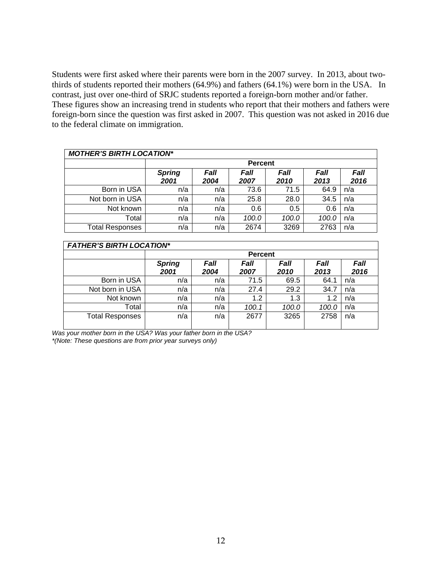Students were first asked where their parents were born in the 2007 survey. In 2013, about twothirds of students reported their mothers (64.9%) and fathers (64.1%) were born in the USA. In contrast, just over one-third of SRJC students reported a foreign-born mother and/or father. These figures show an increasing trend in students who report that their mothers and fathers were foreign-born since the question was first asked in 2007. This question was not asked in 2016 due to the federal climate on immigration.

| <b>MOTHER'S BIRTH LOCATION*</b> |                       |              |              |              |              |              |  |  |  |  |  |
|---------------------------------|-----------------------|--------------|--------------|--------------|--------------|--------------|--|--|--|--|--|
|                                 | <b>Percent</b>        |              |              |              |              |              |  |  |  |  |  |
|                                 | <b>Spring</b><br>2001 | Fall<br>2004 | Fall<br>2007 | Fall<br>2010 | Fall<br>2013 | Fall<br>2016 |  |  |  |  |  |
| Born in USA                     | n/a                   | n/a          | 73.6         | 71.5         | 64.9         | n/a          |  |  |  |  |  |
| Not born in USA                 | n/a                   | n/a          | 25.8         | 28.0         | 34.5         | n/a          |  |  |  |  |  |
| Not known                       | n/a                   | n/a          | 0.6          | 0.5          | 0.6          | n/a          |  |  |  |  |  |
| Total                           | n/a                   | n/a          | 100.0        | 100.0        | 100.0        | n/a          |  |  |  |  |  |
| <b>Total Responses</b>          | n/a                   | n/a          | 2674         | 3269         | 2763         | n/a          |  |  |  |  |  |

| <b>FATHER'S BIRTH LOCATION*</b> |               |                |       |       |       |      |  |  |  |  |  |
|---------------------------------|---------------|----------------|-------|-------|-------|------|--|--|--|--|--|
|                                 |               | <b>Percent</b> |       |       |       |      |  |  |  |  |  |
|                                 | <b>Spring</b> | Fall           | Fall  | Fall  | Fall  | Fall |  |  |  |  |  |
|                                 | 2001          | 2004           | 2007  | 2010  | 2013  | 2016 |  |  |  |  |  |
| Born in USA                     | n/a           | n/a            | 71.5  | 69.5  | 64.1  | n/a  |  |  |  |  |  |
| Not born in USA                 | n/a           | n/a            | 27.4  | 29.2  | 34.7  | n/a  |  |  |  |  |  |
| Not known                       | n/a           | n/a            | 1.2   | 1.3   | 1.2   | n/a  |  |  |  |  |  |
| Total                           | n/a           | n/a            | 100.1 | 100.0 | 100.0 | n/a  |  |  |  |  |  |
| <b>Total Responses</b>          | n/a           | n/a            | 2677  | 3265  | 2758  | n/a  |  |  |  |  |  |

*Was your mother born in the USA? Was your father born in the USA? \*(Note: These questions are from prior year surveys only)*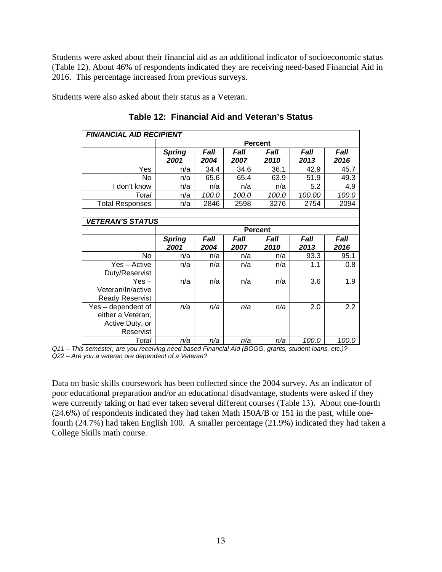Students were asked about their financial aid as an additional indicator of socioeconomic status (Table 12). About 46% of respondents indicated they are receiving need-based Financial Aid in 2016. This percentage increased from previous surveys.

Students were also asked about their status as a Veteran.

| <b>FIN/ANCIAL AID RECIPIENT</b> |               |                              |       |                |             |       |  |  |  |  |  |
|---------------------------------|---------------|------------------------------|-------|----------------|-------------|-------|--|--|--|--|--|
|                                 |               | <b>Percent</b>               |       |                |             |       |  |  |  |  |  |
|                                 | <b>Spring</b> | Fall<br>Fall<br>Fall<br>Fall |       |                |             |       |  |  |  |  |  |
|                                 | 2001          | 2004                         | 2007  | 2010           | 2013        | 2016  |  |  |  |  |  |
| Yes                             | n/a           | 34.4                         | 34.6  | 36.1           | 42.9        | 45.7  |  |  |  |  |  |
| No                              | n/a           | 65.6                         | 65.4  | 63.9           | 51.9        | 49.3  |  |  |  |  |  |
| I don't know                    | n/a           | n/a                          | n/a   | n/a            | 5.2         | 4.9   |  |  |  |  |  |
| Total                           | n/a           | 100.0                        | 100.0 | 100.0          | 100.00      | 100.0 |  |  |  |  |  |
| <b>Total Responses</b>          | n/a           | 2846                         | 2598  | 3276           | 2754        | 2094  |  |  |  |  |  |
|                                 |               |                              |       |                |             |       |  |  |  |  |  |
| <b>VETERAN'S STATUS</b>         |               |                              |       |                |             |       |  |  |  |  |  |
|                                 |               |                              |       | <b>Percent</b> |             |       |  |  |  |  |  |
|                                 | <b>Spring</b> | Fall                         | Fall  | Fall           | <b>Fall</b> | Fall  |  |  |  |  |  |
|                                 |               |                              |       |                |             |       |  |  |  |  |  |
|                                 | 2001          | 2004                         | 2007  | 2010           | 2013        | 2016  |  |  |  |  |  |
| No                              | n/a           | n/a                          | n/a   | n/a            | 93.3        | 95.1  |  |  |  |  |  |
| Yes - Active<br>Duty/Reservist  | n/a           | n/a                          | n/a   | n/a            | 1.1         | 0.8   |  |  |  |  |  |
| $Yes -$                         | n/a           | n/a                          | n/a   | n/a            | 3.6         | 1.9   |  |  |  |  |  |
| Veteran/In/active               |               |                              |       |                |             |       |  |  |  |  |  |
| <b>Ready Reservist</b>          |               |                              |       |                |             |       |  |  |  |  |  |
| Yes - dependent of              | n/a           | n/a                          | n/a   | n/a            | 2.0         | 2.2   |  |  |  |  |  |
| either a Veteran,               |               |                              |       |                |             |       |  |  |  |  |  |
| Active Duty, or                 |               |                              |       |                |             |       |  |  |  |  |  |
| Reservist                       |               |                              |       |                |             |       |  |  |  |  |  |

**Table 12: Financial Aid and Veteran's Status** 

*Q11 – This semester, are you receiving need based Financial Aid (BOGG, grants, student loans, etc.)? Q22 – Are you a veteran ore dependent of a Veteran?* 

Data on basic skills coursework has been collected since the 2004 survey. As an indicator of poor educational preparation and/or an educational disadvantage, students were asked if they were currently taking or had ever taken several different courses (Table 13). About one-fourth (24.6%) of respondents indicated they had taken Math 150A/B or 151 in the past, while onefourth (24.7%) had taken English 100. A smaller percentage (21.9%) indicated they had taken a College Skills math course.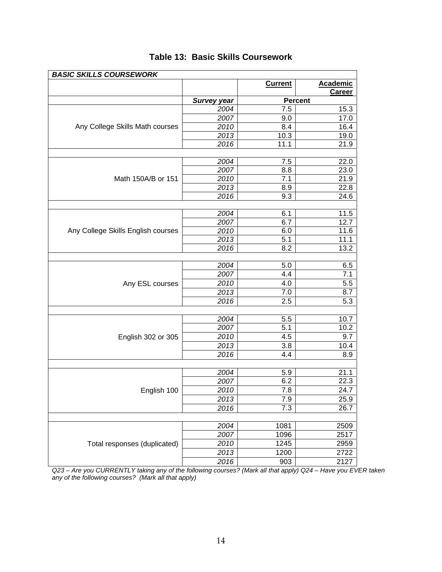| <b>BASIC SKILLS COURSEWORK</b>     |                    |                |                                  |
|------------------------------------|--------------------|----------------|----------------------------------|
|                                    |                    | <b>Current</b> | <b>Academic</b><br><b>Career</b> |
|                                    | <b>Survey year</b> |                | <b>Percent</b>                   |
|                                    | 2004               | 7.5            | 15.3                             |
|                                    | 2007               | 9.0            | 17.0                             |
| Any College Skills Math courses    | 2010               | 8.4            | 16.4                             |
|                                    | 2013               | 10.3           | 19.0                             |
|                                    | 2016               | 11.1           | 21.9                             |
|                                    |                    |                |                                  |
|                                    | 2004               | 7.5            | 22.0                             |
|                                    | 2007               | 8.8            | 23.0                             |
| Math 150A/B or 151                 | 2010               | 7.1            | 21.9                             |
|                                    | 2013               | 8.9            | 22.8                             |
|                                    | 2016               | 9.3            | 24.6                             |
|                                    |                    |                |                                  |
|                                    | 2004               | 6.1            | 11.5                             |
|                                    | 2007               | 6.7            | 12.7                             |
| Any College Skills English courses | 2010               | 6.0            | 11.6                             |
|                                    | 2013               | 5.1            | 11.1                             |
|                                    | 2016               | 8.2            | 13.2                             |
|                                    |                    |                |                                  |
|                                    | 2004               | 5.0            | 6.5                              |
|                                    | 2007               | 4.4            | 7.1                              |
| Any ESL courses                    | 2010               | 4.0            | 5.5                              |
|                                    | 2013               | 7.0            | 8.7                              |
|                                    | 2016               | 2.5            | 5.3                              |
|                                    | 2004               | 5.5            | 10.7                             |
|                                    | 2007               | 5.1            | 10.2                             |
|                                    |                    |                |                                  |
| English 302 or 305                 | 2010               | 4.5            | 9.7                              |
|                                    | 2013               | 3.8            | 10.4                             |
|                                    | 2016               | 4.4            | 8.9                              |
|                                    |                    | 5.9            | 21.1                             |
|                                    | 2004<br>2007       | 6.2            | 22.3                             |
|                                    | 2010               | 7.8            | 24.7                             |
| English 100                        | 2013               |                |                                  |
|                                    |                    | 7.9            | 25.9                             |
|                                    | 2016               | 7.3            | 26.7                             |
|                                    | 2004               |                | 2509                             |
|                                    | 2007               | 1081<br>1096   | 2517                             |
| Total responses (duplicated)       | 2010               | 1245           | 2959                             |
|                                    |                    |                |                                  |
|                                    | 2013               | 1200           | 2722                             |
|                                    | 2016               | 903            | 2127                             |

# **Table 13: Basic Skills Coursework**

*Q23 – Are you CURRENTLY taking any of the following courses? (Mark all that apply) Q24 – Have you EVER taken any of the following courses? (Mark all that apply)*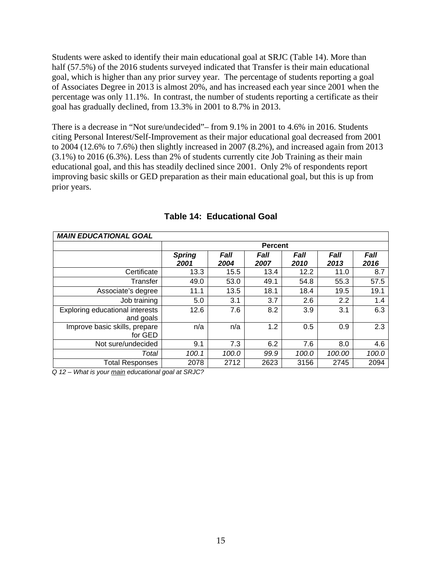Students were asked to identify their main educational goal at SRJC (Table 14). More than half (57.5%) of the 2016 students surveyed indicated that Transfer is their main educational goal, which is higher than any prior survey year. The percentage of students reporting a goal of Associates Degree in 2013 is almost 20%, and has increased each year since 2001 when the percentage was only 11.1%. In contrast, the number of students reporting a certificate as their goal has gradually declined, from 13.3% in 2001 to 8.7% in 2013.

There is a decrease in "Not sure/undecided"– from 9.1% in 2001 to 4.6% in 2016. Students citing Personal Interest/Self-Improvement as their major educational goal decreased from 2001 to 2004 (12.6% to 7.6%) then slightly increased in 2007 (8.2%), and increased again from 2013 (3.1%) to 2016 (6.3%). Less than 2% of students currently cite Job Training as their main educational goal, and this has steadily declined since 2001. Only 2% of respondents report improving basic skills or GED preparation as their main educational goal, but this is up from prior years.

| <b>MAIN EDUCATIONAL GOAL</b>                 |                       |              |                |              |                     |                     |
|----------------------------------------------|-----------------------|--------------|----------------|--------------|---------------------|---------------------|
|                                              |                       |              | <b>Percent</b> |              |                     |                     |
|                                              | <b>Spring</b><br>2001 | Fall<br>2004 | Fall<br>2007   | Fall<br>2010 | <b>Fall</b><br>2013 | <b>Fall</b><br>2016 |
| Certificate                                  | 13.3                  | 15.5         | 13.4           | 12.2         | 11.0                | 8.7                 |
| Transfer                                     | 49.0                  | 53.0         | 49.1           | 54.8         | 55.3                | 57.5                |
| Associate's degree                           | 11.1                  | 13.5         | 18.1           | 18.4         | 19.5                | 19.1                |
| Job training                                 | 5.0                   | 3.1          | 3.7            | 2.6          | 2.2                 | 1.4                 |
| Exploring educational interests<br>and goals | 12.6                  | 7.6          | 8.2            | 3.9          | 3.1                 | 6.3                 |
| Improve basic skills, prepare<br>for GED     | n/a                   | n/a          | 1.2            | 0.5          | 0.9                 | 2.3                 |
| Not sure/undecided                           | 9.1                   | 7.3          | 6.2            | 7.6          | 8.0                 | 4.6                 |
| Total                                        | 100.1                 | 100.0        | 99.9           | 100.0        | 100.00              | 100.0               |
| <b>Total Responses</b>                       | 2078                  | 2712         | 2623           | 3156         | 2745                | 2094                |

#### **Table 14: Educational Goal**

*Q 12 – What is your main educational goal at SRJC?*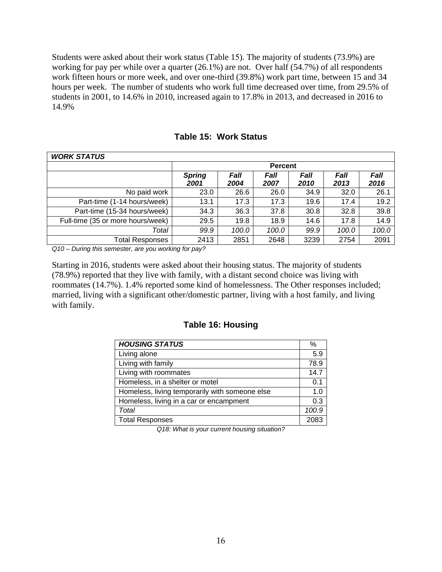working for pay per while over a quarter (26.1%) are not. Over half (54.7%) of all respondents Students were asked about their work status (Table 15). The majority of students (73.9%) are work fifteen hours or more week, and over one-third (39.8%) work part time, between 15 and 34 hours per week. The number of students who work full time decreased over time, from 29.5% of students in 2001, to 14.6% in 2010, increased again to 17.8% in 2013, and decreased in 2016 to 14.9%

| <b>WORK STATUS</b>                |                       |              |              |              |              |              |  |  |
|-----------------------------------|-----------------------|--------------|--------------|--------------|--------------|--------------|--|--|
|                                   | <b>Percent</b>        |              |              |              |              |              |  |  |
|                                   | <b>Spring</b><br>2001 | Fall<br>2004 | Fall<br>2007 | Fall<br>2010 | Fall<br>2013 | Fall<br>2016 |  |  |
| No paid work                      | 23.0                  | 26.6         | 26.0         | 34.9         | 32.0         | 26.1         |  |  |
| Part-time (1-14 hours/week)       | 13.1                  | 17.3         | 17.3         | 19.6         | 17.4         | 19.2         |  |  |
| Part-time (15-34 hours/week)      | 34.3                  | 36.3         | 37.8         | 30.8         | 32.8         | 39.8         |  |  |
| Full-time (35 or more hours/week) | 29.5                  | 19.8         | 18.9         | 14.6         | 17.8         | 14.9         |  |  |
| Total                             | 99.9                  | 100.0        | 100.0        | 99.9         | 100.0        | 100.0        |  |  |
| <b>Total Responses</b>            | 2413                  | 2851         | 2648         | 3239         | 2754         | 2091         |  |  |

**Table 15: Work Status** 

*Q10 – During this semester, are you working for pay?* 

Starting in 2016, students were asked about their housing status. The majority of students (78.9%) reported that they live with family, with a distant second choice was living with roommates (14.7%). 1.4% reported some kind of homelessness. The Other responses included; married, living with a significant other/domestic partner, living with a host family, and living with family.

#### **Table 16: Housing**

| <b>HOUSING STATUS</b>                          | ℅     |
|------------------------------------------------|-------|
| Living alone                                   | 5.9   |
| Living with family                             | 78.9  |
| Living with roommates                          | 14.7  |
| Homeless, in a shelter or motel                | 0.1   |
| Homeless, living temporarily with someone else | 1.0   |
| Homeless, living in a car or encampment        | 0.3   |
| Total                                          | 100.9 |
| <b>Total Responses</b>                         | 2083  |

*Q18: What is your current housing situation?*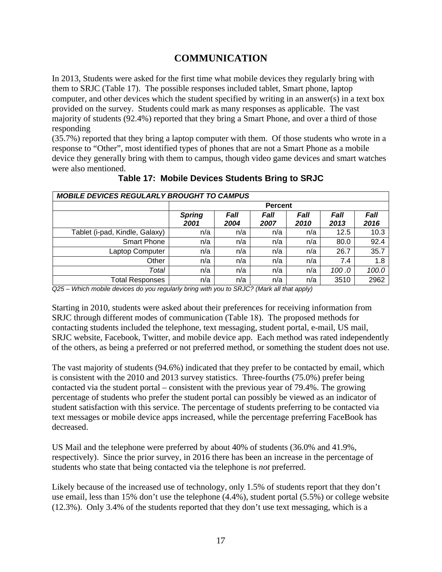# **COMMUNICATION**

In 2013, Students were asked for the first time what mobile devices they regularly bring with them to SRJC (Table 17). The possible responses included tablet, Smart phone, laptop computer, and other devices which the student specified by writing in an answer(s) in a text box provided on the survey. Students could mark as many responses as applicable. The vast majority of students (92.4%) reported that they bring a Smart Phone, and over a third of those responding

 were also mentioned. (35.7%) reported that they bring a laptop computer with them. Of those students who wrote in a response to "Other", most identified types of phones that are not a Smart Phone as a mobile device they generally bring with them to campus, though video game devices and smart watches

| <b>MOBILE DEVICES REGULARLY BROUGHT TO CAMPUS</b> |                           |      |                |       |              |  |  |  |  |  |  |
|---------------------------------------------------|---------------------------|------|----------------|-------|--------------|--|--|--|--|--|--|
| <b>Percent</b>                                    |                           |      |                |       |              |  |  |  |  |  |  |
| <b>Spring</b>                                     | Fall                      | Fall | Fall           | Fall  | Fall<br>2016 |  |  |  |  |  |  |
| n/a                                               | n/a                       | n/a  | n/a            | 12.5  | 10.3         |  |  |  |  |  |  |
| n/a                                               | n/a                       | n/a  | n/a            | 80.0  | 92.4         |  |  |  |  |  |  |
| n/a                                               | n/a                       | n/a  | n/a            | 26.7  | 35.7         |  |  |  |  |  |  |
| n/a                                               | n/a                       | n/a  | n/a            | 7.4   | 1.8          |  |  |  |  |  |  |
| n/a                                               | n/a                       | n/a  | n/a            | 100.0 | 100.0        |  |  |  |  |  |  |
| n/a                                               | n/a                       | n/a  | n/a            | 3510  | 2962         |  |  |  |  |  |  |
|                                                   | 2001<br>$\cdot\cdot\cdot$ | 2004 | 2007<br>------ | 2010  | 2013         |  |  |  |  |  |  |

**Table 17: Mobile Devices Students Bring to SRJC** 

*Q25 – Which mobile devices do you regularly bring with you to SRJC? (Mark all that apply)* 

Starting in 2010, students were asked about their preferences for receiving information from SRJC through different modes of communication (Table 18). The proposed methods for contacting students included the telephone, text messaging, student portal, e-mail, US mail, SRJC website, Facebook, Twitter, and mobile device app. Each method was rated independently of the others, as being a preferred or not preferred method, or something the student does not use.

The vast majority of students (94.6%) indicated that they prefer to be contacted by email, which is consistent with the 2010 and 2013 survey statistics. Three-fourths (75.0%) prefer being contacted via the student portal – consistent with the previous year of 79.4%. The growing percentage of students who prefer the student portal can possibly be viewed as an indicator of student satisfaction with this service. The percentage of students preferring to be contacted via text messages or mobile device apps increased, while the percentage preferring FaceBook has decreased.

US Mail and the telephone were preferred by about 40% of students (36.0% and 41.9%, respectively). Since the prior survey, in 2016 there has been an increase in the percentage of students who state that being contacted via the telephone is *not* preferred.

 (12.3%). Only 3.4% of the students reported that they don't use text messaging, which is a Likely because of the increased use of technology, only 1.5% of students report that they don't use email, less than 15% don't use the telephone (4.4%), student portal (5.5%) or college website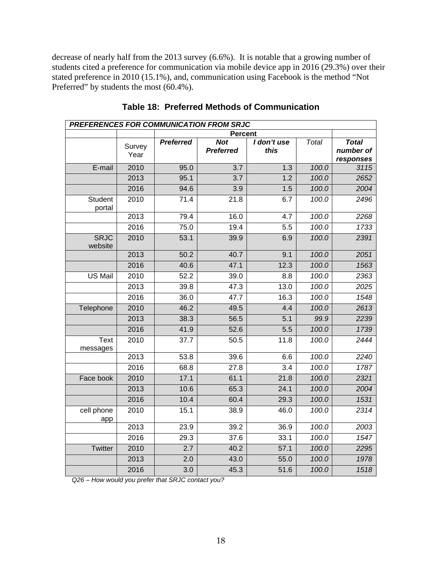decrease of nearly half from the 2013 survey (6.6%). It is notable that a growing number of students cited a preference for communication via mobile device app in 2016 (29.3%) over their stated preference in 2010 (15.1%), and, communication using Facebook is the method "Not Preferred" by students the most (60.4%).

| PREFERENCES FOR COMMUNICATION FROM SRJC |                |                  |                                |                     |              |                                        |  |  |  |
|-----------------------------------------|----------------|------------------|--------------------------------|---------------------|--------------|----------------------------------------|--|--|--|
|                                         |                |                  | <b>Percent</b>                 |                     |              |                                        |  |  |  |
|                                         | Survey<br>Year | <b>Preferred</b> | <b>Not</b><br><b>Preferred</b> | I don't use<br>this | <b>Total</b> | <b>Total</b><br>number of<br>responses |  |  |  |
| E-mail                                  | 2010           | 95.0             | $\overline{3.7}$               | $\overline{1.3}$    | 100.0        | 3115                                   |  |  |  |
|                                         | 2013           | 95.1             | 3.7                            | 1.2                 | 100.0        | 2652                                   |  |  |  |
|                                         | 2016           | 94.6             | 3.9                            | 1.5                 | 100.0        | 2004                                   |  |  |  |
| Student<br>portal                       | 2010           | 71.4             | $\overline{21.8}$              | 6.7                 | 100.0        | 2496                                   |  |  |  |
|                                         | 2013           | 79.4             | 16.0                           | 4.7                 | 100.0        | 2268                                   |  |  |  |
|                                         | 2016           | 75.0             | 19.4                           | 5.5                 | 100.0        | 1733                                   |  |  |  |
| <b>SRJC</b><br>website                  | 2010           | 53.1             | 39.9                           | 6.9                 | 100.0        | 2391                                   |  |  |  |
|                                         | 2013           | 50.2             | 40.7                           | 9.1                 | 100.0        | 2051                                   |  |  |  |
|                                         | 2016           | 40.6             | 47.1                           | 12.3                | 100.0        | 1563                                   |  |  |  |
| US Mail                                 | 2010           | 52.2             | 39.0                           | 8.8                 | 100.0        | 2363                                   |  |  |  |
|                                         | 2013           | 39.8             | 47.3                           | 13.0                | 100.0        | 2025                                   |  |  |  |
|                                         | 2016           | 36.0             | 47.7                           | 16.3                | 100.0        | 1548                                   |  |  |  |
| Telephone                               | 2010           | 46.2             | 49.5                           | 4.4                 | 100.0        | 2613                                   |  |  |  |
|                                         | 2013           | 38.3             | 56.5                           | 5.1                 | 99.9         | 2239                                   |  |  |  |
|                                         | 2016           | 41.9             | 52.6                           | 5.5                 | 100.0        | 1739                                   |  |  |  |
| <b>Text</b><br>messages                 | 2010           | 37.7             | 50.5                           | 11.8                | 100.0        | 2444                                   |  |  |  |
|                                         | 2013           | 53.8             | 39.6                           | 6.6                 | 100.0        | 2240                                   |  |  |  |
|                                         | 2016           | 68.8             | 27.8                           | $\overline{3.4}$    | 100.0        | 1787                                   |  |  |  |
| Face book                               | 2010           | 17.1             | 61.1                           | 21.8                | 100.0        | 2321                                   |  |  |  |
|                                         | 2013           | 10.6             | 65.3                           | 24.1                | 100.0        | 2004                                   |  |  |  |
|                                         | 2016           | 10.4             | 60.4                           | 29.3                | 100.0        | 1531                                   |  |  |  |
| cell phone<br>app                       | 2010           | 15.1             | 38.9                           | 46.0                | 100.0        | 2314                                   |  |  |  |
|                                         | 2013           | 23.9             | 39.2                           | 36.9                | 100.0        | 2003                                   |  |  |  |
|                                         | 2016           | 29.3             | 37.6                           | 33.1                | 100.0        | 1547                                   |  |  |  |
| <b>Twitter</b>                          | 2010           | 2.7              | 40.2                           | 57.1                | 100.0        | 2295                                   |  |  |  |
|                                         | 2013           | 2.0              | 43.0                           | 55.0                | 100.0        | 1978                                   |  |  |  |
|                                         | 2016           | $\overline{3.0}$ | 45.3                           | 51.6                | 100.0        | 1518                                   |  |  |  |

**Table 18: Preferred Methods of Communication** 

 *Q26 – How would you prefer that SRJC contact you?*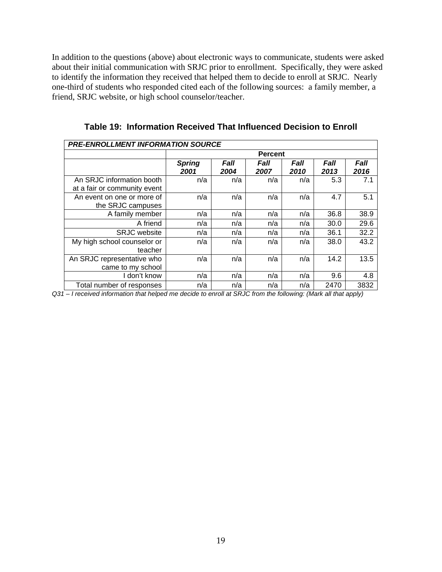In addition to the questions (above) about electronic ways to communicate, students were asked about their initial communication with SRJC prior to enrollment. Specifically, they were asked to identify the information they received that helped them to decide to enroll at SRJC. Nearly one-third of students who responded cited each of the following sources: a family member, a friend, SRJC website, or high school counselor/teacher.

| <b>PRE-ENROLLMENT INFORMATION SOURCE</b>                  |                       |                     |                     |              |                     |                     |  |  |
|-----------------------------------------------------------|-----------------------|---------------------|---------------------|--------------|---------------------|---------------------|--|--|
|                                                           | <b>Percent</b>        |                     |                     |              |                     |                     |  |  |
|                                                           | <b>Spring</b><br>2001 | <i>Fall</i><br>2004 | <i>Fall</i><br>2007 | Fall<br>2010 | <i>Fall</i><br>2013 | <b>Fall</b><br>2016 |  |  |
| An SRJC information booth<br>at a fair or community event | n/a                   | n/a                 | n/a                 | n/a          | 5.3                 | 7.1                 |  |  |
| An event on one or more of<br>the SRJC campuses           | n/a                   | n/a                 | n/a                 | n/a          | 4.7                 | 5.1                 |  |  |
| A family member                                           | n/a                   | n/a                 | n/a                 | n/a          | 36.8                | 38.9                |  |  |
| A friend                                                  | n/a                   | n/a                 | n/a                 | n/a          | 30.0                | 29.6                |  |  |
| <b>SRJC</b> website                                       | n/a                   | n/a                 | n/a                 | n/a          | 36.1                | 32.2                |  |  |
| My high school counselor or<br>teacher                    | n/a                   | n/a                 | n/a                 | n/a          | 38.0                | 43.2                |  |  |
| An SRJC representative who<br>came to my school           | n/a                   | n/a                 | n/a                 | n/a          | 14.2                | 13.5                |  |  |
| I don't know                                              | n/a                   | n/a                 | n/a                 | n/a          | 9.6                 | 4.8                 |  |  |
| Total number of responses                                 | n/a                   | n/a                 | n/a                 | n/a          | 2470                | 3832                |  |  |

**Table 19: Information Received That Influenced Decision to Enroll** 

*Q31 – I received information that helped me decide to enroll at SRJC from the following: (Mark all that apply)*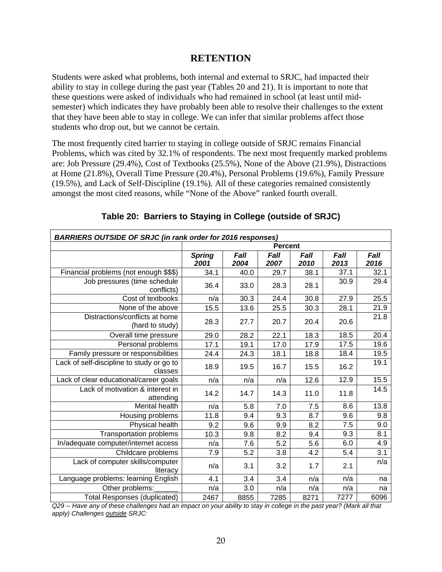#### **RETENTION**

Students were asked what problems, both internal and external to SRJC, had impacted their ability to stay in college during the past year (Tables 20 and 21). It is important to note that these questions were asked of individuals who had remained in school (at least until midsemester) which indicates they have probably been able to resolve their challenges to the extent that they have been able to stay in college. We can infer that similar problems affect those students who drop out, but we cannot be certain.

The most frequently cited barrier to staying in college outside of SRJC remains Financial Problems, which was cited by 32.1% of respondents. The next most frequently marked problems are: Job Pressure (29.4%), Cost of Textbooks (25.5%), None of the Above (21.9%), Distractions at Home (21.8%), Overall Time Pressure (20.4%), Personal Problems (19.6%), Family Pressure (19.5%), and Lack of Self-Discipline (19.1%). All of these categories remained consistently amongst the most cited reasons, while "None of the Above" ranked fourth overall.

| BARRIERS OUTSIDE OF SRJC (in rank order for 2016 responses) |                |      |      |      |                  |      |  |  |
|-------------------------------------------------------------|----------------|------|------|------|------------------|------|--|--|
|                                                             | <b>Percent</b> |      |      |      |                  |      |  |  |
|                                                             | <b>Spring</b>  | Fall | Fall | Fall | Fall             | Fall |  |  |
|                                                             | 2001           | 2004 | 2007 | 2010 | 2013             | 2016 |  |  |
| Financial problems (not enough \$\$\$)                      | 34.1           | 40.0 | 29.7 | 38.1 | 37.1             | 32.1 |  |  |
| Job pressures (time schedule<br>conflicts)                  | 36.4           | 33.0 | 28.3 | 28.1 | 30.9             | 29.4 |  |  |
| Cost of textbooks                                           | n/a            | 30.3 | 24.4 | 30.8 | 27.9             | 25.5 |  |  |
| None of the above                                           | 15.5           | 13.6 | 25.5 | 30.3 | 28.1             | 21.9 |  |  |
| Distractions/conflicts at home<br>(hard to study)           | 28.3           | 27.7 | 20.7 | 20.4 | 20.6             | 21.8 |  |  |
| Overall time pressure                                       | 29.0           | 28.2 | 22.1 | 18.3 | 18.5             | 20.4 |  |  |
| Personal problems                                           | 17.1           | 19.1 | 17.0 | 17.9 | 17.5             | 19.6 |  |  |
| Family pressure or responsibilities                         | 24.4           | 24.3 | 18.1 | 18.8 | 18.4             | 19.5 |  |  |
| Lack of self-discipline to study or go to<br>classes        | 18.9           | 19.5 | 16.7 | 15.5 | 16.2             | 19.1 |  |  |
| Lack of clear educational/career goals                      | n/a            | n/a  | n/a  | 12.6 | 12.9             | 15.5 |  |  |
| Lack of motivation & interest in<br>attending               | 14.2           | 14.7 | 14.3 | 11.0 | 11.8             | 14.5 |  |  |
| Mental health                                               | n/a            | 5.8  | 7.0  | 7.5  | 8.6              | 13.8 |  |  |
| Housing problems                                            | 11.8           | 9.4  | 9.3  | 8.7  | 9.6              | 9.8  |  |  |
| <b>Physical health</b>                                      | 9.2            | 9.6  | 9.9  | 8.2  | $\overline{7.5}$ | 9.0  |  |  |
| <b>Transportation problems</b>                              | 10.3           | 9.8  | 8.2  | 9.4  | 9.3              | 8.1  |  |  |
| In/adequate computer/internet access                        | n/a            | 7.6  | 5.2  | 5.6  | 6.0              | 4.9  |  |  |
| Childcare problems                                          | 7.9            | 5.2  | 3.8  | 4.2  | 5.4              | 3.1  |  |  |
| Lack of computer skills/computer<br>literacy                | n/a            | 3.1  | 3.2  | 1.7  | 2.1              | n/a  |  |  |
| Language problems: learning English                         | 4.1            | 3.4  | 3.4  | n/a  | n/a              | na   |  |  |
| Other problems:                                             | n/a            | 3.0  | n/a  | n/a  | n/a              | na   |  |  |
| <b>Total Responses (duplicated)</b>                         | 2467           | 8855 | 7285 | 8271 | 7277             | 6096 |  |  |

#### **Table 20: Barriers to Staying in College (outside of SRJC)**

*Q29 -- Have any of these challenges had an impact on your ability to stay in college in the past year? (Mark all that apply) Challenges outside SRJC:*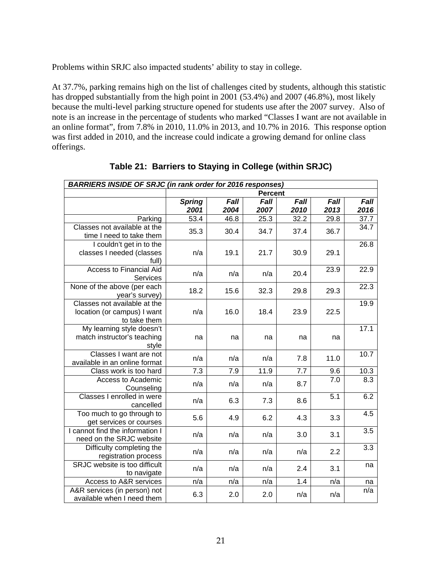Problems within SRJC also impacted students' ability to stay in college.

At 37.7%, parking remains high on the list of challenges cited by students, although this statistic has dropped substantially from the high point in 2001 (53.4%) and 2007 (46.8%), most likely because the multi-level parking structure opened for students use after the 2007 survey. Also of note is an increase in the percentage of students who marked "Classes I want are not available in an online format", from 7.8% in 2010, 11.0% in 2013, and 10.7% in 2016. This response option was first added in 2010, and the increase could indicate a growing demand for online class offerings.

| <b>BARRIERS INSIDE OF SRJC (in rank order for 2016 responses)</b> |                  |      |                |      |      |      |
|-------------------------------------------------------------------|------------------|------|----------------|------|------|------|
|                                                                   |                  |      | <b>Percent</b> |      |      |      |
|                                                                   | <b>Spring</b>    | Fall | Fall           | Fall | Fall | Fall |
|                                                                   | 2001             | 2004 | 2007           | 2010 | 2013 | 2016 |
| Parking                                                           | 53.4             | 46.8 | 25.3           | 32.2 | 29.8 | 37.7 |
| Classes not available at the                                      | 35.3             | 30.4 | 34.7           | 37.4 | 36.7 | 34.7 |
| time I need to take them                                          |                  |      |                |      |      |      |
| I couldn't get in to the                                          |                  |      |                |      |      | 26.8 |
| classes I needed (classes                                         | n/a              | 19.1 | 21.7           | 30.9 | 29.1 |      |
| full)                                                             |                  |      |                |      |      |      |
| <b>Access to Financial Aid</b>                                    | n/a              | n/a  | n/a            | 20.4 | 23.9 | 22.9 |
| Services                                                          |                  |      |                |      |      |      |
| None of the above (per each                                       | 18.2             | 15.6 | 32.3           | 29.8 | 29.3 | 22.3 |
| year's survey)                                                    |                  |      |                |      |      |      |
| Classes not available at the                                      |                  |      |                |      |      | 19.9 |
| location (or campus) I want                                       | n/a              | 16.0 | 18.4           | 23.9 | 22.5 |      |
| to take them                                                      |                  |      |                |      |      |      |
| My learning style doesn't                                         |                  |      |                |      |      | 17.1 |
| match instructor's teaching                                       | na               | na   | na             | na   | na   |      |
| style                                                             |                  |      |                |      |      |      |
| Classes I want are not                                            | n/a              | n/a  | n/a            | 7.8  | 11.0 | 10.7 |
| available in an online format                                     |                  |      |                |      |      |      |
| Class work is too hard                                            | $\overline{7.3}$ | 7.9  | 11.9           | 7.7  | 9.6  | 10.3 |
| Access to Academic                                                | n/a              | n/a  | n/a            | 8.7  | 7.0  | 8.3  |
| Counseling                                                        |                  |      |                |      |      |      |
| Classes I enrolled in were                                        | n/a              | 6.3  | 7.3            | 8.6  | 5.1  | 6.2  |
| cancelled                                                         |                  |      |                |      |      |      |
| Too much to go through to                                         | 5.6              | 4.9  | 6.2            | 4.3  | 3.3  | 4.5  |
| get services or courses                                           |                  |      |                |      |      |      |
| I cannot find the information I                                   | n/a              | n/a  | n/a            | 3.0  | 3.1  | 3.5  |
| need on the SRJC website                                          |                  |      |                |      |      |      |
| Difficulty completing the                                         | n/a              | n/a  | n/a            | n/a  | 2.2  | 3.3  |
| registration process                                              |                  |      |                |      |      |      |
| SRJC website is too difficult                                     | n/a              | n/a  | n/a            | 2.4  | 3.1  | na   |
| to navigate                                                       |                  |      |                |      |      |      |
| Access to A&R services                                            | n/a              | n/a  | n/a            | 1.4  | n/a  | na   |
| A&R services (in person) not                                      | 6.3              | 2.0  | 2.0            | n/a  | n/a  | n/a  |
| available when I need them                                        |                  |      |                |      |      |      |

**Table 21: Barriers to Staying in College (within SRJC)**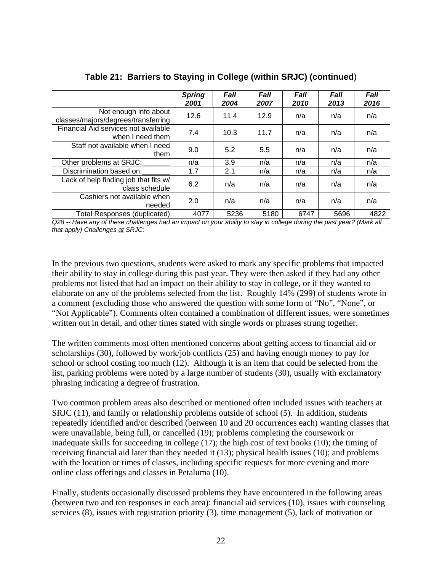|                                                              | <b>Spring</b><br>2001 | <b>Fall</b><br>2004 | <b>Fall</b><br>2007 | <b>Fall</b><br>2010 | <b>Fall</b><br>2013 | Fall<br>2016 |
|--------------------------------------------------------------|-----------------------|---------------------|---------------------|---------------------|---------------------|--------------|
| Not enough info about<br>classes/majors/degrees/transferring | 12.6                  | 11.4                | 12.9                | n/a                 | n/a                 | n/a          |
| Financial Aid services not available<br>when I need them     | 7.4                   | 10.3                | 11.7                | n/a                 | n/a                 | n/a          |
| Staff not available when I need<br>them                      | 9.0                   | 5.2                 | 5.5                 | n/a                 | n/a                 | n/a          |
| Other problems at SRJC:                                      | n/a                   | 3.9                 | n/a                 | n/a                 | n/a                 | n/a          |
| Discrimination based on:                                     | 1.7                   | 2.1                 | n/a                 | n/a                 | n/a                 | n/a          |
| Lack of help finding job that fits w/<br>class schedule      | 6.2                   | n/a                 | n/a                 | n/a                 | n/a                 | n/a          |
| Cashiers not available when<br>needed                        | 2.0                   | n/a                 | n/a                 | n/a                 | n/a                 | n/a          |
| Total Responses (duplicated)                                 | 4077                  | 5236                | 5180                | 6747                | 5696                | 4822         |

**Table 21: Barriers to Staying in College (within SRJC) (continued**)

*Q28 -- Have any of these challenges had an impact on your ability to stay in college during the past year? (Mark all that apply) Challenges at SRJC:* 

 elaborate on any of the problems selected from the list. Roughly 14% (299) of students wrote in In the previous two questions, students were asked to mark any specific problems that impacted their ability to stay in college during this past year. They were then asked if they had any other problems not listed that had an impact on their ability to stay in college, or if they wanted to a comment (excluding those who answered the question with some form of "No", "None", or "Not Applicable"). Comments often contained a combination of different issues, were sometimes written out in detail, and other times stated with single words or phrases strung together.

 school or school costing too much (12). Although it is an item that could be selected from the phrasing indicating a degree of frustration. The written comments most often mentioned concerns about getting access to financial aid or scholarships (30), followed by work/job conflicts (25) and having enough money to pay for list, parking problems were noted by a large number of students (30), usually with exclamatory

Two common problem areas also described or mentioned often included issues with teachers at SRJC (11), and family or relationship problems outside of school (5). In addition, students repeatedly identified and/or described (between 10 and 20 occurrences each) wanting classes that were unavailable, being full, or cancelled (19); problems completing the coursework or inadequate skills for succeeding in college (17); the high cost of text books (10); the timing of receiving financial aid later than they needed it (13); physical health issues (10); and problems with the location or times of classes, including specific requests for more evening and more online class offerings and classes in Petaluma (10).

Finally, students occasionally discussed problems they have encountered in the following areas (between two and ten responses in each area): financial aid services (10), issues with counseling services (8), issues with registration priority (3), time management (5), lack of motivation or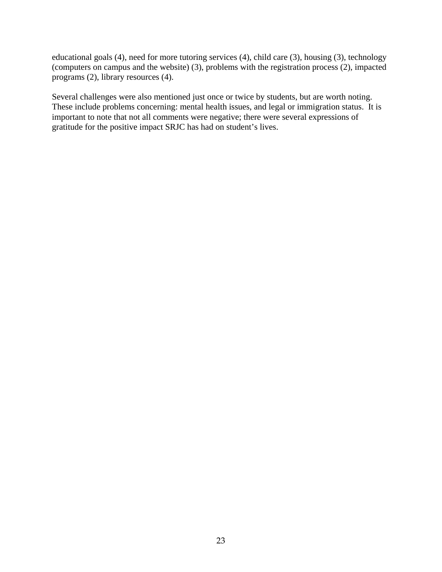educational goals (4), need for more tutoring services (4), child care (3), housing (3), technology (computers on campus and the website) (3), problems with the registration process (2), impacted programs (2), library resources (4).

Several challenges were also mentioned just once or twice by students, but are worth noting. These include problems concerning: mental health issues, and legal or immigration status. It is important to note that not all comments were negative; there were several expressions of gratitude for the positive impact SRJC has had on student's lives.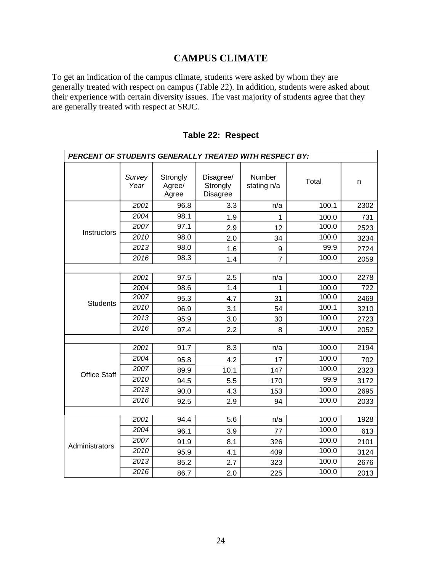# **CAMPUS CLIMATE**

To get an indication of the campus climate, students were asked by whom they are generally treated with respect on campus (Table 22). In addition, students were asked about their experience with certain diversity issues. The vast majority of students agree that they are generally treated with respect at SRJC.

| PERCENT OF STUDENTS GENERALLY TREATED WITH RESPECT BY: |                |                             |                                          |                       |       |      |  |  |  |
|--------------------------------------------------------|----------------|-----------------------------|------------------------------------------|-----------------------|-------|------|--|--|--|
|                                                        | Survey<br>Year | Strongly<br>Agree/<br>Agree | Disagree/<br>Strongly<br><b>Disagree</b> | Number<br>stating n/a | Total | n    |  |  |  |
|                                                        | 2001           | 96.8                        | 3.3                                      | n/a                   | 100.1 | 2302 |  |  |  |
|                                                        | 2004           | 98.1                        | 1.9                                      | 1                     | 100.0 | 731  |  |  |  |
|                                                        | 2007           | 97.1                        | 2.9                                      | 12                    | 100.0 | 2523 |  |  |  |
| Instructors                                            | 2010           | 98.0                        | 2.0                                      | 34                    | 100.0 | 3234 |  |  |  |
|                                                        | 2013           | 98.0                        | 1.6                                      | $\boldsymbol{9}$      | 99.9  | 2724 |  |  |  |
|                                                        | 2016           | 98.3                        | 1.4                                      | $\overline{7}$        | 100.0 | 2059 |  |  |  |
|                                                        |                |                             |                                          |                       |       |      |  |  |  |
|                                                        | 2001           | 97.5                        | 2.5                                      | n/a                   | 100.0 | 2278 |  |  |  |
|                                                        | 2004           | 98.6                        | 1.4                                      | 1                     | 100.0 | 722  |  |  |  |
| <b>Students</b>                                        | 2007           | 95.3                        | 4.7                                      | 31                    | 100.0 | 2469 |  |  |  |
|                                                        | 2010           | 96.9                        | 3.1                                      | 54                    | 100.1 | 3210 |  |  |  |
|                                                        | 2013           | 95.9                        | 3.0                                      | 30                    | 100.0 | 2723 |  |  |  |
|                                                        | 2016           | 97.4                        | 2.2                                      | 8                     | 100.0 | 2052 |  |  |  |
|                                                        |                |                             |                                          |                       |       |      |  |  |  |
|                                                        | 2001           | 91.7                        | 8.3                                      | n/a                   | 100.0 | 2194 |  |  |  |
|                                                        | 2004           | 95.8                        | 4.2                                      | 17                    | 100.0 | 702  |  |  |  |
| <b>Office Staff</b>                                    | 2007           | 89.9                        | 10.1                                     | 147                   | 100.0 | 2323 |  |  |  |
|                                                        | 2010           | 94.5                        | 5.5                                      | 170                   | 99.9  | 3172 |  |  |  |
|                                                        | 2013           | 90.0                        | 4.3                                      | 153                   | 100.0 | 2695 |  |  |  |
|                                                        | 2016           | 92.5                        | 2.9                                      | 94                    | 100.0 | 2033 |  |  |  |
|                                                        |                |                             |                                          |                       |       |      |  |  |  |
|                                                        | 2001           | 94.4                        | 5.6                                      | n/a                   | 100.0 | 1928 |  |  |  |
|                                                        | 2004           | 96.1                        | 3.9                                      | 77                    | 100.0 | 613  |  |  |  |
| Administrators                                         | 2007           | 91.9                        | 8.1                                      | 326                   | 100.0 | 2101 |  |  |  |
|                                                        | 2010           | 95.9                        | 4.1                                      | 409                   | 100.0 | 3124 |  |  |  |
|                                                        | 2013           | 85.2                        | 2.7                                      | 323                   | 100.0 | 2676 |  |  |  |
|                                                        | 2016           | 86.7                        | 2.0                                      | 225                   | 100.0 | 2013 |  |  |  |

#### **Table 22: Respect**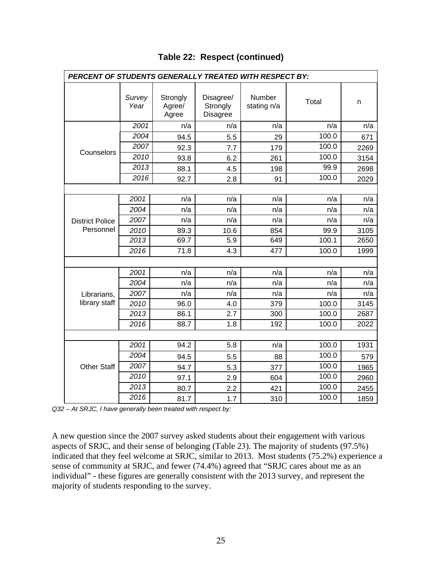| PERCENT OF STUDENTS GENERALLY TREATED WITH RESPECT BY: |                |                             |                                          |                       |       |      |  |  |  |  |
|--------------------------------------------------------|----------------|-----------------------------|------------------------------------------|-----------------------|-------|------|--|--|--|--|
|                                                        | Survey<br>Year | Strongly<br>Agree/<br>Agree | Disagree/<br>Strongly<br><b>Disagree</b> | Number<br>stating n/a | Total | n    |  |  |  |  |
|                                                        | 2001           | n/a                         | n/a                                      | n/a                   | n/a   | n/a  |  |  |  |  |
|                                                        | 2004           | 94.5                        | 5.5                                      | 29                    | 100.0 | 671  |  |  |  |  |
|                                                        | 2007           | 92.3                        | 7.7                                      | 179                   | 100.0 | 2269 |  |  |  |  |
| Counselors                                             | 2010           | 93.8                        | 6.2                                      | 261                   | 100.0 | 3154 |  |  |  |  |
|                                                        | 2013           | 88.1                        | 4.5                                      | 198                   | 99.9  | 2698 |  |  |  |  |
|                                                        | 2016           | 92.7                        | 2.8                                      | 91                    | 100.0 | 2029 |  |  |  |  |
|                                                        |                |                             |                                          |                       |       |      |  |  |  |  |
|                                                        | 2001           | n/a                         | n/a                                      | n/a                   | n/a   | n/a  |  |  |  |  |
|                                                        | 2004           | n/a                         | n/a                                      | n/a                   | n/a   | n/a  |  |  |  |  |
| <b>District Police</b>                                 | 2007           | n/a                         | n/a                                      | n/a                   | n/a   | n/a  |  |  |  |  |
| Personnel                                              | 2010           | 89.3                        | 10.6                                     | 854                   | 99.9  | 3105 |  |  |  |  |
|                                                        | 2013           | 69.7                        | 5.9                                      | 649                   | 100.1 | 2650 |  |  |  |  |
|                                                        | 2016           | 71.8                        | $\overline{4.3}$                         | 477                   | 100.0 | 1999 |  |  |  |  |
|                                                        |                |                             |                                          |                       |       |      |  |  |  |  |
|                                                        | 2001           | n/a                         | n/a                                      | n/a                   | n/a   | n/a  |  |  |  |  |
|                                                        | 2004           | n/a                         | n/a                                      | n/a                   | n/a   | n/a  |  |  |  |  |
| Librarians,                                            | 2007           | n/a                         | n/a                                      | n/a                   | n/a   | n/a  |  |  |  |  |
| library staff                                          | 2010           | 96.0                        | 4.0                                      | 379                   | 100.0 | 3145 |  |  |  |  |
|                                                        | 2013           | 86.1                        | $\overline{2.7}$                         | 300                   | 100.0 | 2687 |  |  |  |  |
|                                                        | 2016           | 88.7                        | 1.8                                      | 192                   | 100.0 | 2022 |  |  |  |  |
|                                                        |                |                             |                                          |                       |       |      |  |  |  |  |
|                                                        | 2001           | 94.2                        | 5.8                                      | n/a                   | 100.0 | 1931 |  |  |  |  |
|                                                        | 2004           | 94.5                        | 5.5                                      | 88                    | 100.0 | 579  |  |  |  |  |
| <b>Other Staff</b>                                     | 2007           | 94.7                        | 5.3                                      | 377                   | 100.0 | 1965 |  |  |  |  |
|                                                        | 2010           | 97.1                        | 2.9                                      | 604                   | 100.0 | 2960 |  |  |  |  |
|                                                        | 2013           | 80.7                        | 2.2                                      | 421                   | 100.0 | 2455 |  |  |  |  |
|                                                        | 2016           | 81.7                        | 1.7                                      | 310                   | 100.0 | 1859 |  |  |  |  |

### **Table 22: Respect (continued)**

*Q32 – At SRJC, I have generally been treated with respect by:* 

A new question since the 2007 survey asked students about their engagement with various aspects of SRJC, and their sense of belonging (Table 23). The majority of students (97.5%) indicated that they feel welcome at SRJC, similar to 2013. Most students (75.2%) experience a sense of community at SRJC, and fewer (74.4%) agreed that "SRJC cares about me as an individual" - these figures are generally consistent with the 2013 survey, and represent the majority of students responding to the survey.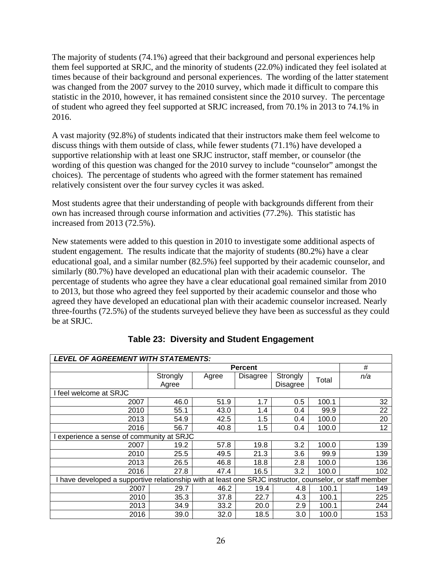The majority of students (74.1%) agreed that their background and personal experiences help them feel supported at SRJC, and the minority of students (22.0%) indicated they feel isolated at times because of their background and personal experiences. The wording of the latter statement was changed from the 2007 survey to the 2010 survey, which made it difficult to compare this statistic in the 2010, however, it has remained consistent since the 2010 survey. The percentage of student who agreed they feel supported at SRJC increased, from 70.1% in 2013 to 74.1% in 2016.

A vast majority (92.8%) of students indicated that their instructors make them feel welcome to discuss things with them outside of class, while fewer students (71.1%) have developed a supportive relationship with at least one SRJC instructor, staff member, or counselor (the wording of this question was changed for the 2010 survey to include "counselor" amongst the choices). The percentage of students who agreed with the former statement has remained relatively consistent over the four survey cycles it was asked.

Most students agree that their understanding of people with backgrounds different from their own has increased through course information and activities (77.2%). This statistic has increased from 2013 (72.5%).

New statements were added to this question in 2010 to investigate some additional aspects of student engagement. The results indicate that the majority of students (80.2%) have a clear educational goal, and a similar number (82.5%) feel supported by their academic counselor, and similarly (80.7%) have developed an educational plan with their academic counselor. The percentage of students who agree they have a clear educational goal remained similar from 2010 to 2013, but those who agreed they feel supported by their academic counselor and those who agreed they have developed an educational plan with their academic counselor increased. Nearly three-fourths (72.5%) of the students surveyed believe they have been as successful as they could be at SRJC.

| <b>LEVEL OF AGREEMENT WITH STATEMENTS:</b>                                                               |                   |       |                 |                      |       |     |  |  |
|----------------------------------------------------------------------------------------------------------|-------------------|-------|-----------------|----------------------|-------|-----|--|--|
|                                                                                                          |                   |       | <b>Percent</b>  |                      |       | #   |  |  |
|                                                                                                          | Strongly<br>Agree | Agree | <b>Disagree</b> | Strongly<br>Disagree | Total | n/a |  |  |
| I feel welcome at SRJC                                                                                   |                   |       |                 |                      |       |     |  |  |
| 2007                                                                                                     | 46.0              | 51.9  | 1.7             | 0.5                  | 100.1 | 32  |  |  |
| 2010                                                                                                     | 55.1              | 43.0  | 1.4             | 0.4                  | 99.9  | 22  |  |  |
| 2013                                                                                                     | 54.9              | 42.5  | 1.5             | 0.4                  | 100.0 | 20  |  |  |
| 2016                                                                                                     | 56.7              | 40.8  | 1.5             | 0.4                  | 100.0 | 12  |  |  |
| experience a sense of community at SRJC                                                                  |                   |       |                 |                      |       |     |  |  |
| 2007                                                                                                     | 19.2              | 57.8  | 19.8            | 3.2                  | 100.0 | 139 |  |  |
| 2010                                                                                                     | 25.5              | 49.5  | 21.3            | 3.6                  | 99.9  | 139 |  |  |
| 2013                                                                                                     | 26.5              | 46.8  | 18.8            | 2.8                  | 100.0 | 136 |  |  |
| 2016                                                                                                     | 27.8              | 47.4  | 16.5            | 3.2                  | 100.0 | 102 |  |  |
| I have developed a supportive relationship with at least one SRJC instructor, counselor, or staff member |                   |       |                 |                      |       |     |  |  |
| 2007                                                                                                     | 29.7              | 46.2  | 19.4            | 4.8                  | 100.1 | 149 |  |  |
| 2010                                                                                                     | 35.3              | 37.8  | 22.7            | 4.3                  | 100.1 | 225 |  |  |
| 2013                                                                                                     | 34.9              | 33.2  | 20.0            | 2.9                  | 100.1 | 244 |  |  |
| 2016                                                                                                     | 39.0              | 32.0  | 18.5            | 3.0                  | 100.0 | 153 |  |  |

**Table 23: Diversity and Student Engagement**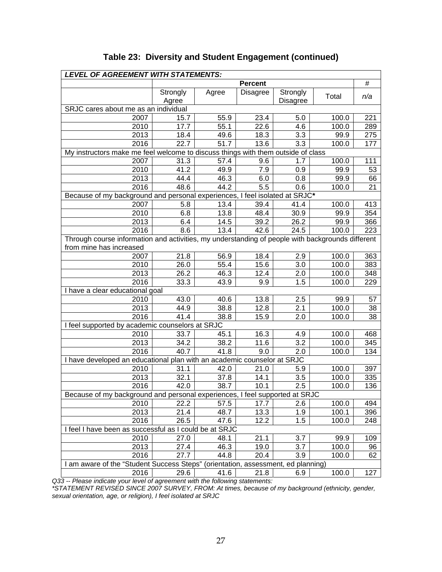| #<br><b>Percent</b><br>Agree<br><b>Disagree</b><br>Strongly<br>Strongly<br>Total<br>n/a<br><b>Disagree</b><br>Agree<br>SRJC cares about me as an individual<br>2007<br>15.7<br>55.9<br>23.4<br>5.0<br>100.0<br>221<br>17.7<br>55.1<br>100.0<br>2010<br>22.6<br>4.6<br>289<br>99.9<br>2013<br>18.4<br>49.6<br>18.3<br>3.3<br>275<br>22.7<br>51.7<br>13.6<br>3.3<br>177<br>2016<br>100.0<br>My instructors make me feel welcome to discuss things with them outside of class<br>2007<br>31.3<br>57.4<br>9.6<br>1.7<br>100.0<br>111<br>41.2<br>99.9<br>2010<br>49.9<br>7.9<br>0.9<br>53<br>46.3<br>99.9<br>2013<br>44.4<br>6.0<br>0.8<br>66<br>$\overline{5.5}$<br>2016<br>48.6<br>44.2<br>0.6<br>100.0<br>21<br>Because of my background and personal experiences, I feel isolated at SRJC*<br>2007<br>5.8<br>13.4<br>39.4<br>100.0<br>413<br>41.4<br>2010<br>6.8<br>13.8<br>48.4<br>30.9<br>99.9<br>354<br>39.2<br>26.2<br>99.9<br>366<br>2013<br>6.4<br>14.5<br>2016<br>8.6<br>13.4<br>42.6<br>24.5<br>223<br>100.0<br>Through course information and activities, my understanding of people with backgrounds different<br>from mine has increased<br>56.9<br>2007<br>21.8<br>18.4<br>2.9<br>100.0<br>363<br>2010<br>26.0<br>55.4<br>15.6<br>3.0<br>100.0<br>383<br>2013<br>26.2<br>46.3<br>12.4<br>100.0<br>348<br>2.0<br>1.5<br>2016<br>33.3<br>9.9<br>229<br>43.9<br>100.0<br>I have a clear educational goal<br>43.0<br>40.6<br>13.8<br>57<br>2010<br>2.5<br>99.9<br>2013<br>12.8<br>100.0<br>44.9<br>38.8<br>2.1<br>38<br>2016<br>15.9<br>100.0<br>41.4<br>38.8<br>2.0<br>38<br>I feel supported by academic counselors at SRJC<br>45.1<br>16.3<br>2010<br>33.7<br>4.9<br>100.0<br>468<br>2013<br>38.2<br>3.2<br>34.2<br>11.6<br>100.0<br>345<br>2016<br>40.7<br>9.0<br>134<br>41.8<br>2.0<br>100.0<br>I have developed an educational plan with an academic counselor at SRJC<br>2010<br>31.1<br>42.0<br>21.0<br>5.9<br>100.0<br>397<br>2013<br>32.1<br>37.8<br>14.1<br>3.5<br>100.0<br>335<br>2.5<br>2016<br>42.0<br>38.7<br>10.1<br>100.0<br>136<br>Because of my background and personal experiences, I feel supported at SRJC<br>2010<br>22.2<br>57.5<br>17.7<br>100.0<br>2.6<br>494<br>2013<br>48.7<br>13.3<br>1.9<br>100.1<br>396<br>21.4<br>2016<br>26.5<br>47.6<br>12.2<br>1.5<br>100.0<br>248<br>I feel I have been as successful as I could be at SRJC<br>2010<br>27.0<br>99.9<br>48.1<br>21.1<br>3.7<br>109<br>2013<br>46.3<br>3.7<br>100.0<br>27.4<br>19.0<br>96<br>2016<br>27.7<br>44.8<br>20.4<br>3.9<br>100.0<br>62<br>I am aware of the "Student Success Steps" (orientation, assessment, ed planning)<br>29.6<br>21.8<br>100.0<br>127<br>2016<br>41.6<br>6.9 | LEVEL OF AGREEMENT WITH STATEMENTS: |  |  |  |
|-------------------------------------------------------------------------------------------------------------------------------------------------------------------------------------------------------------------------------------------------------------------------------------------------------------------------------------------------------------------------------------------------------------------------------------------------------------------------------------------------------------------------------------------------------------------------------------------------------------------------------------------------------------------------------------------------------------------------------------------------------------------------------------------------------------------------------------------------------------------------------------------------------------------------------------------------------------------------------------------------------------------------------------------------------------------------------------------------------------------------------------------------------------------------------------------------------------------------------------------------------------------------------------------------------------------------------------------------------------------------------------------------------------------------------------------------------------------------------------------------------------------------------------------------------------------------------------------------------------------------------------------------------------------------------------------------------------------------------------------------------------------------------------------------------------------------------------------------------------------------------------------------------------------------------------------------------------------------------------------------------------------------------------------------------------------------------------------------------------------------------------------------------------------------------------------------------------------------------------------------------------------------------------------------------------------------------------------------------------------------------------------------------------------------------------------------------------------------------------------------------------------------------------------------------------------------------------------------------------------------------------------------------------------------------------|-------------------------------------|--|--|--|
|                                                                                                                                                                                                                                                                                                                                                                                                                                                                                                                                                                                                                                                                                                                                                                                                                                                                                                                                                                                                                                                                                                                                                                                                                                                                                                                                                                                                                                                                                                                                                                                                                                                                                                                                                                                                                                                                                                                                                                                                                                                                                                                                                                                                                                                                                                                                                                                                                                                                                                                                                                                                                                                                                     |                                     |  |  |  |
|                                                                                                                                                                                                                                                                                                                                                                                                                                                                                                                                                                                                                                                                                                                                                                                                                                                                                                                                                                                                                                                                                                                                                                                                                                                                                                                                                                                                                                                                                                                                                                                                                                                                                                                                                                                                                                                                                                                                                                                                                                                                                                                                                                                                                                                                                                                                                                                                                                                                                                                                                                                                                                                                                     |                                     |  |  |  |
|                                                                                                                                                                                                                                                                                                                                                                                                                                                                                                                                                                                                                                                                                                                                                                                                                                                                                                                                                                                                                                                                                                                                                                                                                                                                                                                                                                                                                                                                                                                                                                                                                                                                                                                                                                                                                                                                                                                                                                                                                                                                                                                                                                                                                                                                                                                                                                                                                                                                                                                                                                                                                                                                                     |                                     |  |  |  |
|                                                                                                                                                                                                                                                                                                                                                                                                                                                                                                                                                                                                                                                                                                                                                                                                                                                                                                                                                                                                                                                                                                                                                                                                                                                                                                                                                                                                                                                                                                                                                                                                                                                                                                                                                                                                                                                                                                                                                                                                                                                                                                                                                                                                                                                                                                                                                                                                                                                                                                                                                                                                                                                                                     |                                     |  |  |  |
|                                                                                                                                                                                                                                                                                                                                                                                                                                                                                                                                                                                                                                                                                                                                                                                                                                                                                                                                                                                                                                                                                                                                                                                                                                                                                                                                                                                                                                                                                                                                                                                                                                                                                                                                                                                                                                                                                                                                                                                                                                                                                                                                                                                                                                                                                                                                                                                                                                                                                                                                                                                                                                                                                     |                                     |  |  |  |
|                                                                                                                                                                                                                                                                                                                                                                                                                                                                                                                                                                                                                                                                                                                                                                                                                                                                                                                                                                                                                                                                                                                                                                                                                                                                                                                                                                                                                                                                                                                                                                                                                                                                                                                                                                                                                                                                                                                                                                                                                                                                                                                                                                                                                                                                                                                                                                                                                                                                                                                                                                                                                                                                                     |                                     |  |  |  |
|                                                                                                                                                                                                                                                                                                                                                                                                                                                                                                                                                                                                                                                                                                                                                                                                                                                                                                                                                                                                                                                                                                                                                                                                                                                                                                                                                                                                                                                                                                                                                                                                                                                                                                                                                                                                                                                                                                                                                                                                                                                                                                                                                                                                                                                                                                                                                                                                                                                                                                                                                                                                                                                                                     |                                     |  |  |  |
|                                                                                                                                                                                                                                                                                                                                                                                                                                                                                                                                                                                                                                                                                                                                                                                                                                                                                                                                                                                                                                                                                                                                                                                                                                                                                                                                                                                                                                                                                                                                                                                                                                                                                                                                                                                                                                                                                                                                                                                                                                                                                                                                                                                                                                                                                                                                                                                                                                                                                                                                                                                                                                                                                     |                                     |  |  |  |
|                                                                                                                                                                                                                                                                                                                                                                                                                                                                                                                                                                                                                                                                                                                                                                                                                                                                                                                                                                                                                                                                                                                                                                                                                                                                                                                                                                                                                                                                                                                                                                                                                                                                                                                                                                                                                                                                                                                                                                                                                                                                                                                                                                                                                                                                                                                                                                                                                                                                                                                                                                                                                                                                                     |                                     |  |  |  |
|                                                                                                                                                                                                                                                                                                                                                                                                                                                                                                                                                                                                                                                                                                                                                                                                                                                                                                                                                                                                                                                                                                                                                                                                                                                                                                                                                                                                                                                                                                                                                                                                                                                                                                                                                                                                                                                                                                                                                                                                                                                                                                                                                                                                                                                                                                                                                                                                                                                                                                                                                                                                                                                                                     |                                     |  |  |  |
|                                                                                                                                                                                                                                                                                                                                                                                                                                                                                                                                                                                                                                                                                                                                                                                                                                                                                                                                                                                                                                                                                                                                                                                                                                                                                                                                                                                                                                                                                                                                                                                                                                                                                                                                                                                                                                                                                                                                                                                                                                                                                                                                                                                                                                                                                                                                                                                                                                                                                                                                                                                                                                                                                     |                                     |  |  |  |
|                                                                                                                                                                                                                                                                                                                                                                                                                                                                                                                                                                                                                                                                                                                                                                                                                                                                                                                                                                                                                                                                                                                                                                                                                                                                                                                                                                                                                                                                                                                                                                                                                                                                                                                                                                                                                                                                                                                                                                                                                                                                                                                                                                                                                                                                                                                                                                                                                                                                                                                                                                                                                                                                                     |                                     |  |  |  |
|                                                                                                                                                                                                                                                                                                                                                                                                                                                                                                                                                                                                                                                                                                                                                                                                                                                                                                                                                                                                                                                                                                                                                                                                                                                                                                                                                                                                                                                                                                                                                                                                                                                                                                                                                                                                                                                                                                                                                                                                                                                                                                                                                                                                                                                                                                                                                                                                                                                                                                                                                                                                                                                                                     |                                     |  |  |  |
|                                                                                                                                                                                                                                                                                                                                                                                                                                                                                                                                                                                                                                                                                                                                                                                                                                                                                                                                                                                                                                                                                                                                                                                                                                                                                                                                                                                                                                                                                                                                                                                                                                                                                                                                                                                                                                                                                                                                                                                                                                                                                                                                                                                                                                                                                                                                                                                                                                                                                                                                                                                                                                                                                     |                                     |  |  |  |
|                                                                                                                                                                                                                                                                                                                                                                                                                                                                                                                                                                                                                                                                                                                                                                                                                                                                                                                                                                                                                                                                                                                                                                                                                                                                                                                                                                                                                                                                                                                                                                                                                                                                                                                                                                                                                                                                                                                                                                                                                                                                                                                                                                                                                                                                                                                                                                                                                                                                                                                                                                                                                                                                                     |                                     |  |  |  |
|                                                                                                                                                                                                                                                                                                                                                                                                                                                                                                                                                                                                                                                                                                                                                                                                                                                                                                                                                                                                                                                                                                                                                                                                                                                                                                                                                                                                                                                                                                                                                                                                                                                                                                                                                                                                                                                                                                                                                                                                                                                                                                                                                                                                                                                                                                                                                                                                                                                                                                                                                                                                                                                                                     |                                     |  |  |  |
|                                                                                                                                                                                                                                                                                                                                                                                                                                                                                                                                                                                                                                                                                                                                                                                                                                                                                                                                                                                                                                                                                                                                                                                                                                                                                                                                                                                                                                                                                                                                                                                                                                                                                                                                                                                                                                                                                                                                                                                                                                                                                                                                                                                                                                                                                                                                                                                                                                                                                                                                                                                                                                                                                     |                                     |  |  |  |
|                                                                                                                                                                                                                                                                                                                                                                                                                                                                                                                                                                                                                                                                                                                                                                                                                                                                                                                                                                                                                                                                                                                                                                                                                                                                                                                                                                                                                                                                                                                                                                                                                                                                                                                                                                                                                                                                                                                                                                                                                                                                                                                                                                                                                                                                                                                                                                                                                                                                                                                                                                                                                                                                                     |                                     |  |  |  |
|                                                                                                                                                                                                                                                                                                                                                                                                                                                                                                                                                                                                                                                                                                                                                                                                                                                                                                                                                                                                                                                                                                                                                                                                                                                                                                                                                                                                                                                                                                                                                                                                                                                                                                                                                                                                                                                                                                                                                                                                                                                                                                                                                                                                                                                                                                                                                                                                                                                                                                                                                                                                                                                                                     |                                     |  |  |  |
|                                                                                                                                                                                                                                                                                                                                                                                                                                                                                                                                                                                                                                                                                                                                                                                                                                                                                                                                                                                                                                                                                                                                                                                                                                                                                                                                                                                                                                                                                                                                                                                                                                                                                                                                                                                                                                                                                                                                                                                                                                                                                                                                                                                                                                                                                                                                                                                                                                                                                                                                                                                                                                                                                     |                                     |  |  |  |
|                                                                                                                                                                                                                                                                                                                                                                                                                                                                                                                                                                                                                                                                                                                                                                                                                                                                                                                                                                                                                                                                                                                                                                                                                                                                                                                                                                                                                                                                                                                                                                                                                                                                                                                                                                                                                                                                                                                                                                                                                                                                                                                                                                                                                                                                                                                                                                                                                                                                                                                                                                                                                                                                                     |                                     |  |  |  |
|                                                                                                                                                                                                                                                                                                                                                                                                                                                                                                                                                                                                                                                                                                                                                                                                                                                                                                                                                                                                                                                                                                                                                                                                                                                                                                                                                                                                                                                                                                                                                                                                                                                                                                                                                                                                                                                                                                                                                                                                                                                                                                                                                                                                                                                                                                                                                                                                                                                                                                                                                                                                                                                                                     |                                     |  |  |  |
|                                                                                                                                                                                                                                                                                                                                                                                                                                                                                                                                                                                                                                                                                                                                                                                                                                                                                                                                                                                                                                                                                                                                                                                                                                                                                                                                                                                                                                                                                                                                                                                                                                                                                                                                                                                                                                                                                                                                                                                                                                                                                                                                                                                                                                                                                                                                                                                                                                                                                                                                                                                                                                                                                     |                                     |  |  |  |
|                                                                                                                                                                                                                                                                                                                                                                                                                                                                                                                                                                                                                                                                                                                                                                                                                                                                                                                                                                                                                                                                                                                                                                                                                                                                                                                                                                                                                                                                                                                                                                                                                                                                                                                                                                                                                                                                                                                                                                                                                                                                                                                                                                                                                                                                                                                                                                                                                                                                                                                                                                                                                                                                                     |                                     |  |  |  |
|                                                                                                                                                                                                                                                                                                                                                                                                                                                                                                                                                                                                                                                                                                                                                                                                                                                                                                                                                                                                                                                                                                                                                                                                                                                                                                                                                                                                                                                                                                                                                                                                                                                                                                                                                                                                                                                                                                                                                                                                                                                                                                                                                                                                                                                                                                                                                                                                                                                                                                                                                                                                                                                                                     |                                     |  |  |  |
|                                                                                                                                                                                                                                                                                                                                                                                                                                                                                                                                                                                                                                                                                                                                                                                                                                                                                                                                                                                                                                                                                                                                                                                                                                                                                                                                                                                                                                                                                                                                                                                                                                                                                                                                                                                                                                                                                                                                                                                                                                                                                                                                                                                                                                                                                                                                                                                                                                                                                                                                                                                                                                                                                     |                                     |  |  |  |
|                                                                                                                                                                                                                                                                                                                                                                                                                                                                                                                                                                                                                                                                                                                                                                                                                                                                                                                                                                                                                                                                                                                                                                                                                                                                                                                                                                                                                                                                                                                                                                                                                                                                                                                                                                                                                                                                                                                                                                                                                                                                                                                                                                                                                                                                                                                                                                                                                                                                                                                                                                                                                                                                                     |                                     |  |  |  |
|                                                                                                                                                                                                                                                                                                                                                                                                                                                                                                                                                                                                                                                                                                                                                                                                                                                                                                                                                                                                                                                                                                                                                                                                                                                                                                                                                                                                                                                                                                                                                                                                                                                                                                                                                                                                                                                                                                                                                                                                                                                                                                                                                                                                                                                                                                                                                                                                                                                                                                                                                                                                                                                                                     |                                     |  |  |  |
|                                                                                                                                                                                                                                                                                                                                                                                                                                                                                                                                                                                                                                                                                                                                                                                                                                                                                                                                                                                                                                                                                                                                                                                                                                                                                                                                                                                                                                                                                                                                                                                                                                                                                                                                                                                                                                                                                                                                                                                                                                                                                                                                                                                                                                                                                                                                                                                                                                                                                                                                                                                                                                                                                     |                                     |  |  |  |
|                                                                                                                                                                                                                                                                                                                                                                                                                                                                                                                                                                                                                                                                                                                                                                                                                                                                                                                                                                                                                                                                                                                                                                                                                                                                                                                                                                                                                                                                                                                                                                                                                                                                                                                                                                                                                                                                                                                                                                                                                                                                                                                                                                                                                                                                                                                                                                                                                                                                                                                                                                                                                                                                                     |                                     |  |  |  |
|                                                                                                                                                                                                                                                                                                                                                                                                                                                                                                                                                                                                                                                                                                                                                                                                                                                                                                                                                                                                                                                                                                                                                                                                                                                                                                                                                                                                                                                                                                                                                                                                                                                                                                                                                                                                                                                                                                                                                                                                                                                                                                                                                                                                                                                                                                                                                                                                                                                                                                                                                                                                                                                                                     |                                     |  |  |  |
|                                                                                                                                                                                                                                                                                                                                                                                                                                                                                                                                                                                                                                                                                                                                                                                                                                                                                                                                                                                                                                                                                                                                                                                                                                                                                                                                                                                                                                                                                                                                                                                                                                                                                                                                                                                                                                                                                                                                                                                                                                                                                                                                                                                                                                                                                                                                                                                                                                                                                                                                                                                                                                                                                     |                                     |  |  |  |
|                                                                                                                                                                                                                                                                                                                                                                                                                                                                                                                                                                                                                                                                                                                                                                                                                                                                                                                                                                                                                                                                                                                                                                                                                                                                                                                                                                                                                                                                                                                                                                                                                                                                                                                                                                                                                                                                                                                                                                                                                                                                                                                                                                                                                                                                                                                                                                                                                                                                                                                                                                                                                                                                                     |                                     |  |  |  |
|                                                                                                                                                                                                                                                                                                                                                                                                                                                                                                                                                                                                                                                                                                                                                                                                                                                                                                                                                                                                                                                                                                                                                                                                                                                                                                                                                                                                                                                                                                                                                                                                                                                                                                                                                                                                                                                                                                                                                                                                                                                                                                                                                                                                                                                                                                                                                                                                                                                                                                                                                                                                                                                                                     |                                     |  |  |  |
|                                                                                                                                                                                                                                                                                                                                                                                                                                                                                                                                                                                                                                                                                                                                                                                                                                                                                                                                                                                                                                                                                                                                                                                                                                                                                                                                                                                                                                                                                                                                                                                                                                                                                                                                                                                                                                                                                                                                                                                                                                                                                                                                                                                                                                                                                                                                                                                                                                                                                                                                                                                                                                                                                     |                                     |  |  |  |
|                                                                                                                                                                                                                                                                                                                                                                                                                                                                                                                                                                                                                                                                                                                                                                                                                                                                                                                                                                                                                                                                                                                                                                                                                                                                                                                                                                                                                                                                                                                                                                                                                                                                                                                                                                                                                                                                                                                                                                                                                                                                                                                                                                                                                                                                                                                                                                                                                                                                                                                                                                                                                                                                                     |                                     |  |  |  |
|                                                                                                                                                                                                                                                                                                                                                                                                                                                                                                                                                                                                                                                                                                                                                                                                                                                                                                                                                                                                                                                                                                                                                                                                                                                                                                                                                                                                                                                                                                                                                                                                                                                                                                                                                                                                                                                                                                                                                                                                                                                                                                                                                                                                                                                                                                                                                                                                                                                                                                                                                                                                                                                                                     |                                     |  |  |  |
|                                                                                                                                                                                                                                                                                                                                                                                                                                                                                                                                                                                                                                                                                                                                                                                                                                                                                                                                                                                                                                                                                                                                                                                                                                                                                                                                                                                                                                                                                                                                                                                                                                                                                                                                                                                                                                                                                                                                                                                                                                                                                                                                                                                                                                                                                                                                                                                                                                                                                                                                                                                                                                                                                     |                                     |  |  |  |
|                                                                                                                                                                                                                                                                                                                                                                                                                                                                                                                                                                                                                                                                                                                                                                                                                                                                                                                                                                                                                                                                                                                                                                                                                                                                                                                                                                                                                                                                                                                                                                                                                                                                                                                                                                                                                                                                                                                                                                                                                                                                                                                                                                                                                                                                                                                                                                                                                                                                                                                                                                                                                                                                                     |                                     |  |  |  |
|                                                                                                                                                                                                                                                                                                                                                                                                                                                                                                                                                                                                                                                                                                                                                                                                                                                                                                                                                                                                                                                                                                                                                                                                                                                                                                                                                                                                                                                                                                                                                                                                                                                                                                                                                                                                                                                                                                                                                                                                                                                                                                                                                                                                                                                                                                                                                                                                                                                                                                                                                                                                                                                                                     |                                     |  |  |  |
|                                                                                                                                                                                                                                                                                                                                                                                                                                                                                                                                                                                                                                                                                                                                                                                                                                                                                                                                                                                                                                                                                                                                                                                                                                                                                                                                                                                                                                                                                                                                                                                                                                                                                                                                                                                                                                                                                                                                                                                                                                                                                                                                                                                                                                                                                                                                                                                                                                                                                                                                                                                                                                                                                     |                                     |  |  |  |
|                                                                                                                                                                                                                                                                                                                                                                                                                                                                                                                                                                                                                                                                                                                                                                                                                                                                                                                                                                                                                                                                                                                                                                                                                                                                                                                                                                                                                                                                                                                                                                                                                                                                                                                                                                                                                                                                                                                                                                                                                                                                                                                                                                                                                                                                                                                                                                                                                                                                                                                                                                                                                                                                                     |                                     |  |  |  |
|                                                                                                                                                                                                                                                                                                                                                                                                                                                                                                                                                                                                                                                                                                                                                                                                                                                                                                                                                                                                                                                                                                                                                                                                                                                                                                                                                                                                                                                                                                                                                                                                                                                                                                                                                                                                                                                                                                                                                                                                                                                                                                                                                                                                                                                                                                                                                                                                                                                                                                                                                                                                                                                                                     |                                     |  |  |  |
|                                                                                                                                                                                                                                                                                                                                                                                                                                                                                                                                                                                                                                                                                                                                                                                                                                                                                                                                                                                                                                                                                                                                                                                                                                                                                                                                                                                                                                                                                                                                                                                                                                                                                                                                                                                                                                                                                                                                                                                                                                                                                                                                                                                                                                                                                                                                                                                                                                                                                                                                                                                                                                                                                     |                                     |  |  |  |
|                                                                                                                                                                                                                                                                                                                                                                                                                                                                                                                                                                                                                                                                                                                                                                                                                                                                                                                                                                                                                                                                                                                                                                                                                                                                                                                                                                                                                                                                                                                                                                                                                                                                                                                                                                                                                                                                                                                                                                                                                                                                                                                                                                                                                                                                                                                                                                                                                                                                                                                                                                                                                                                                                     |                                     |  |  |  |
|                                                                                                                                                                                                                                                                                                                                                                                                                                                                                                                                                                                                                                                                                                                                                                                                                                                                                                                                                                                                                                                                                                                                                                                                                                                                                                                                                                                                                                                                                                                                                                                                                                                                                                                                                                                                                                                                                                                                                                                                                                                                                                                                                                                                                                                                                                                                                                                                                                                                                                                                                                                                                                                                                     |                                     |  |  |  |

# **Table 23: Diversity and Student Engagement (continued)**

*Q33 -- Please indicate your level of agreement with the following statements:* 

*\*STATEMENT REVISED SINCE 2007 SURVEY, FROM: At times, because of my background (ethnicity, gender, sexual orientation, age, or religion), I feel isolated at SRJC*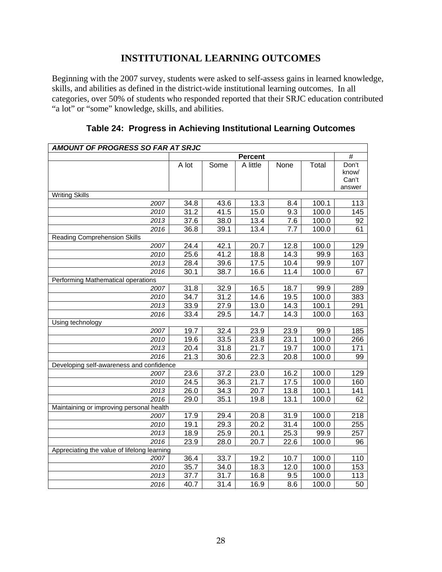# **INSTITUTIONAL LEARNING OUTCOMES**

 "a lot" or "some" knowledge, skills, and abilities. Beginning with the 2007 survey, students were asked to self-assess gains in learned knowledge, skills, and abilities as defined in the district-wide institutional learning outcomes. In all categories, over 50% of students who responded reported that their SRJC education contributed

| AMOUNT OF PROGRESS SO FAR AT SRJC           |       |                   |                   |                  |       |                                   |
|---------------------------------------------|-------|-------------------|-------------------|------------------|-------|-----------------------------------|
|                                             |       |                   | <b>Percent</b>    |                  |       | $\overline{\#}$                   |
|                                             | A lot | Some              | A little          | None             | Total | Don't<br>know/<br>Can't<br>answer |
| <b>Writing Skills</b>                       |       |                   |                   |                  |       |                                   |
| 2007                                        | 34.8  | 43.6              | 13.3              | 8.4              | 100.1 | 113                               |
| 2010                                        | 31.2  | 41.5              | 15.0              | $\overline{9.3}$ | 100.0 | 145                               |
| 2013                                        | 37.6  | 38.0              | 13.4              | 7.6              | 100.0 | 92                                |
| 2016                                        | 36.8  | 39.1              | 13.4              | 7.7              | 100.0 | 61                                |
| <b>Reading Comprehension Skills</b>         |       |                   |                   |                  |       |                                   |
| 2007                                        | 24.4  | $\overline{42}.1$ | 20.7              | 12.8             | 100.0 | 129                               |
| 2010                                        | 25.6  | 41.2              | 18.8              | 14.3             | 99.9  | 163                               |
| 2013                                        | 28.4  | 39.6              | 17.5              | 10.4             | 99.9  | 107                               |
| 2016                                        | 30.1  | 38.7              | 16.6              | 11.4             | 100.0 | 67                                |
| <b>Performing Mathematical operations</b>   |       |                   |                   |                  |       |                                   |
| 2007                                        | 31.8  | 32.9              | 16.5              | 18.7             | 99.9  | 289                               |
| 2010                                        | 34.7  | 31.2              | 14.6              | 19.5             | 100.0 | 383                               |
| 2013                                        | 33.9  | 27.9              | 13.0              | 14.3             | 100.1 | 291                               |
| 2016                                        | 33.4  | 29.5              | 14.7              | 14.3             | 100.0 | 163                               |
| Using technology                            |       |                   |                   |                  |       |                                   |
| 2007                                        | 19.7  | 32.4              | 23.9              | 23.9             | 99.9  | 185                               |
| 2010                                        | 19.6  | 33.5              | 23.8              | 23.1             | 100.0 | 266                               |
| 2013                                        | 20.4  | 31.8              | 21.7              | 19.7             | 100.0 | 171                               |
| 2016                                        | 21.3  | 30.6              | 22.3              | 20.8             | 100.0 | 99                                |
| Developing self-awareness and confidence    |       |                   |                   |                  |       |                                   |
| 2007                                        | 23.6  | 37.2              | 23.0              | 16.2             | 100.0 | 129                               |
| 2010                                        | 24.5  | 36.3              | $\overline{21.7}$ | 17.5             | 100.0 | 160                               |
| 2013                                        | 26.0  | 34.3              | 20.7              | 13.8             | 100.1 | 141                               |
| 2016                                        | 29.0  | 35.1              | 19.8              | 13.1             | 100.0 | 62                                |
| Maintaining or improving personal health    |       |                   |                   |                  |       |                                   |
| 2007                                        | 17.9  | 29.4              | 20.8              | 31.9             | 100.0 | 218                               |
| 2010                                        | 19.1  | 29.3              | 20.2              | 31.4             | 100.0 | 255                               |
| 2013                                        | 18.9  | 25.9              | $\overline{20.1}$ | 25.3             | 99.9  | 257                               |
| 2016                                        | 23.9  | 28.0              | 20.7              | 22.6             | 100.0 | 96                                |
| Appreciating the value of lifelong learning |       |                   |                   |                  |       |                                   |
| 2007                                        | 36.4  | 33.7              | 19.2              | 10.7             | 100.0 | 110                               |
| 2010                                        | 35.7  | 34.0              | 18.3              | 12.0             | 100.0 | 153                               |
| 2013                                        | 37.7  | 31.7              | 16.8              | 9.5              | 100.0 | 113                               |
| 2016                                        | 40.7  | 31.4              | 16.9              | 8.6              | 100.0 | 50                                |

|  | Table 24: Progress in Achieving Institutional Learning Outcomes |  |  |  |  |
|--|-----------------------------------------------------------------|--|--|--|--|
|--|-----------------------------------------------------------------|--|--|--|--|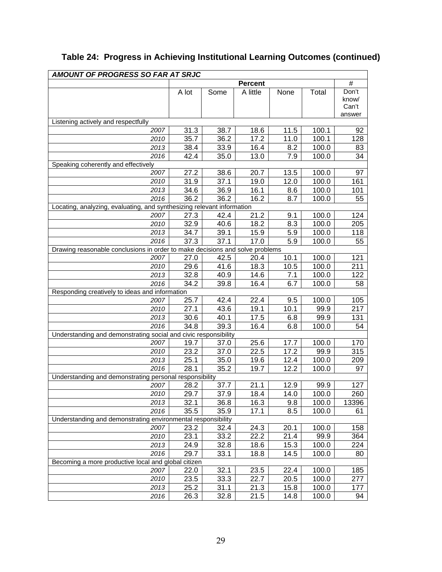| <b>AMOUNT OF PROGRESS SO FAR AT SRJC</b>                                     |              |      |                |              |               |                 |
|------------------------------------------------------------------------------|--------------|------|----------------|--------------|---------------|-----------------|
|                                                                              |              |      | <b>Percent</b> |              |               | $\#$            |
|                                                                              | A lot        | Some | A little       | None         | Total         | Don't           |
|                                                                              |              |      |                |              |               | know/           |
|                                                                              |              |      |                |              |               | Can't<br>answer |
| Listening actively and respectfully                                          |              |      |                |              |               |                 |
| 2007                                                                         | 31.3         | 38.7 | 18.6           | 11.5         | 100.1         | 92              |
| 2010                                                                         | 35.7         | 36.2 | 17.2           | 11.0         | 100.1         | 128             |
| 2013                                                                         | 38.4         | 33.9 | 16.4           | 8.2          | 100.0         | 83              |
| 2016                                                                         | 42.4         | 35.0 | 13.0           | 7.9          | 100.0         | 34              |
| Speaking coherently and effectively                                          |              |      |                |              |               |                 |
| 2007                                                                         | 27.2         | 38.6 | 20.7           | 13.5         | 100.0         | 97              |
| 2010                                                                         | 31.9         | 37.1 | 19.0           | 12.0         | 100.0         | 161             |
| 2013                                                                         | 34.6         | 36.9 | 16.1           | 8.6          | 100.0         | 101             |
| 2016                                                                         | 36.2         | 36.2 | 16.2           | 8.7          | 100.0         | 55              |
| Locating, analyzing, evaluating, and synthesizing relevant information       |              |      |                |              |               |                 |
| 2007                                                                         | 27.3         | 42.4 | 21.2           | 9.1          | 100.0         | 124             |
| 2010                                                                         | 32.9         | 40.6 | 18.2           | 8.3          | 100.0         | 205             |
| 2013                                                                         | 34.7         | 39.1 | 15.9           | 5.9          | 100.0         | 118             |
| 2016                                                                         | 37.3         | 37.1 | 17.0           | 5.9          | 100.0         | 55              |
| Drawing reasonable conclusions in order to make decisions and solve problems |              |      |                |              |               |                 |
| 2007                                                                         | 27.0         | 42.5 | 20.4           | 10.1         | 100.0         | 121             |
| 2010                                                                         | 29.6         | 41.6 | 18.3           | 10.5         | 100.0         | 211             |
| 2013                                                                         | 32.8         | 40.9 | 14.6           | 7.1          | 100.0         | 122             |
| 2016                                                                         | 34.2         | 39.8 | 16.4           | 6.7          | 100.0         | 58              |
| Responding creatively to ideas and information                               |              |      |                |              |               |                 |
| 2007                                                                         | 25.7         | 42.4 | 22.4           | 9.5          | 100.0         | 105             |
| 2010                                                                         | 27.1         | 43.6 | 19.1           | 10.1         | 99.9          | 217             |
| 2013                                                                         | 30.6         | 40.1 | 17.5           | 6.8          | 99.9          | 131             |
| 2016                                                                         | 34.8         | 39.3 | 16.4           | 6.8          | 100.0         | 54              |
| Understanding and demonstrating social and civic responsibility              |              |      |                |              |               |                 |
| 2007                                                                         | 19.7         | 37.0 | 25.6           | 17.7         | 100.0         | 170             |
| 2010                                                                         | 23.2         | 37.0 | 22.5           | 17.2         | 99.9          | 315             |
| 2013                                                                         | 25.1         | 35.0 | 19.6           | 12.4         | 100.0         | 209             |
| 2016                                                                         | 28.1         | 35.2 | 19.7           | 12.2         | 100.0         | 97              |
| Understanding and demonstrating personal responsibility                      |              |      |                |              |               |                 |
| 2007                                                                         | 28.2         | 37.7 | 21.1           | 12.9         | 99.9          | 127             |
| 2010                                                                         | 29.7         | 37.9 | 18.4           | 14.0         | 100.0         | 260             |
| 2013                                                                         | 32.1         | 36.8 | 16.3           | 9.8          | 100.0         | 13396           |
| 2016                                                                         | 35.5         | 35.9 | 17.1           | 8.5          | 100.0         | 61              |
| Understanding and demonstrating environmental responsibility                 | 23.2         | 32.4 |                |              |               |                 |
| 2007                                                                         |              |      | 24.3<br>22.2   | 20.1         | 100.0<br>99.9 | 158             |
| 2010                                                                         | 23.1<br>24.9 | 33.2 |                | 21.4<br>15.3 |               | 364             |
| 2013                                                                         |              | 32.8 | 18.6           |              | 100.0         | 224             |
| 2016<br>Becoming a more productive local and global citizen                  | 29.7         | 33.1 | 18.8           | 14.5         | 100.0         | 80              |
| 2007                                                                         | 22.0         | 32.1 | 23.5           | 22.4         | 100.0         | 185             |
| 2010                                                                         | 23.5         | 33.3 | 22.7           | 20.5         | 100.0         | 277             |
| 2013                                                                         | 25.2         | 31.1 | 21.3           | 15.8         | 100.0         | 177             |
| 2016                                                                         | 26.3         | 32.8 | 21.5           | 14.8         | 100.0         | 94              |
|                                                                              |              |      |                |              |               |                 |

# **Table 24: Progress in Achieving Institutional Learning Outcomes (continued)**